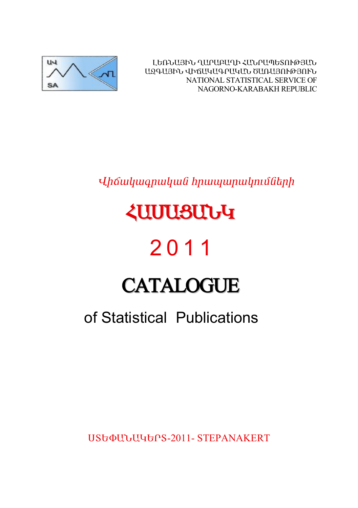ԼԵՌՆԱՅԻՆ ՂԱՐԱԲԱՂԻ ՀԱՆՐԱՊԵՏՈՒԹՅԱՆ ԱԶԳԱՅԻՆ ՎԻճԱԿԱԳՐԱԿԱՆ ԾԱՌԱՅՈՒԹՅՈՒՆ NATIONAL STATISTICAL SERVICE OF NAGORNO-KARABAKH REPUBLIC



# Uhowywanwywa hpwywpwynuutahp

# *<u><u><b>ZUUUSUUG</u>*</u>

# 2011

# **CATALOGUE**

# of Statistical Publications

USGOULLUGGPS-2011- STEPANAKERT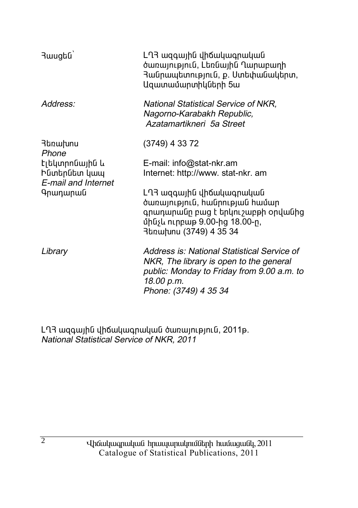| 3wugbū                                                | ԼՂՅ ազգային վիճակագրական<br>ծառայություն, Լեռնային Ղարաբաղի<br>Յանրապետություն, ք. Ստեփանակերտ,<br>Ազատամարտիկների 5ա                                                       |
|-------------------------------------------------------|-----------------------------------------------------------------------------------------------------------------------------------------------------------------------------|
| Address:                                              | National Statistical Service of NKR,<br>Nagorno-Karabakh Republic,<br>Azatamartikneri, 5a Street                                                                            |
| Յեռախոս<br>Phone                                      | (3749) 4 33 72                                                                                                                                                              |
| Էլեկտրոնային և<br>Ինտերնետ կապ<br>E-mail and Internet | E-mail: info@stat-nkr.am<br>Internet: http://www. stat-nkr. am                                                                                                              |
| Գրադարան                                              | ԼՂՅ ազգային վիճակագրական<br>ծառայություն, հանրության համար<br>գրադարանը բաց է երկուշաբթի օրվանից<br>մինչև ուրբաթ 9.00-ից 18.00-ը,<br>3եռախոս (3749) 4 35 34                 |
| Library                                               | Address is: National Statistical Service of<br>NKR, The library is open to the general<br>public: Monday to Friday from 9.00 a.m. to<br>18.00 p.m.<br>Phone: (3749) 4 35 34 |

Ln3 ազգային վիճակագրական ծառայություն, 2011թ. National Statistical Service of NKR, 2011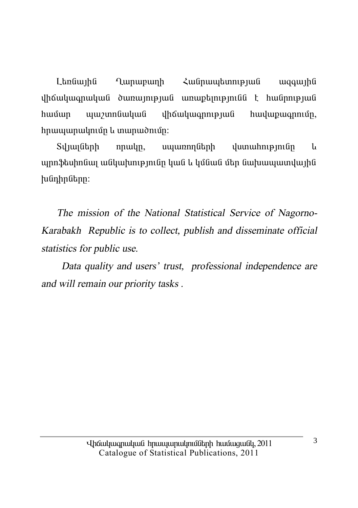**Lunupunh** Հանրապետության I եռնային waawha  $\mu$ hwuwn wwy.unfiwywf yhowyw.annpuuf hwyw.unnun. hnwwwnwynigh u mwnwdnign:

սպառողների Տվյայների nnwyn, dumuhnuaniun  $\mathbf{1}_{\mathbf{I}}$ պրոֆեսիոնալ անկախությունը կան և կմնան մեր նախապատվային huunhnutnn:

The mission of the National Statistical Service of Nagorno-Karabakh Republic is to collect, publish and disseminate official statistics for public use.

Data quality and users' trust, professional independence are and will remain our priority tasks.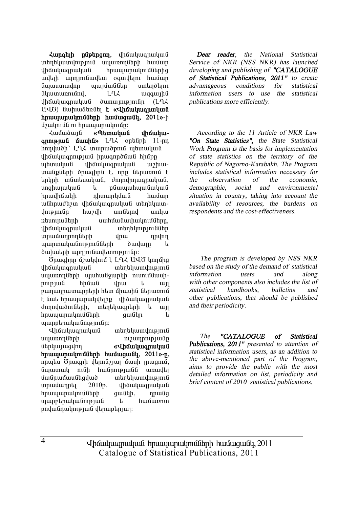$\lambda$ **unatih nüptnann**, dháwhwanwhwa տեղեկատվություն սաառողների համար վիճակագրական hրապարակումներից uullah umnimfuullan ooinillam huufuin Gwwwwwdnn wwwwGGbn untndtini  $G$ i Guan China (Guan Guan China Barang) and a sua cuan Guan China Guan China Guan China Guan China Guan China Gu  $I$ hốn lung nu lung dung bình din dia  $I$ U·40) նախաձեռնել **է «Վիճակագրական hnuuunuulmuuttah huuuuuuttu. 2011**»-h  $\mathfrak{D}$ ակումն ու hnuununulm $\mathfrak{U}$ n:

*<u>Համաձայն «Պետական վիճակա-</u>* **annipiul úwuhu»** L-L< ontaiph 11-nn  $\lim_{h \to 0}$ innu $\lim_{h \to 0}$  England  $\lim_{h \to 0}$ վիճակագրության իրագործման hիմթը who ilhow in the wind with with the with the with the with the with the with the with the with the with the wi unu Golinh do undhal t, ann Ghaunna t tinyh indintuiuyud, dininyhiuq nuyud, unahunulnuli li nGuunuhunuliulnuli իրավիճակի դիտարկման համար անհրաժեշտ վիճակագրական տեղեկատվությունը՝ հաշվի առնեյով առկա ռեսուոսնեոի սահմանափակումնեոո. վիճակագրական տեղեկություններ ïñ³Ù³¹ñáÕÝ»ñÇ íñ³ ¹ñíáÕ պարտականությունների ծավալը և ծախսերի արդյունավետությունը:

Önwahnn úzwyynu t LLL UUÖ ynnung iha iliyan kula ilika kutha ya kutha ya kutha ya kutha kutha ya kutha kutha ya kutha wa kutha wa kutha wa kuth<br>Marejeo ya kutha wa kutha wa kutha wa kutha wa kutha wa kutha wa kutha wa kutha wa kutha wa kutha wa kutha wa uyunnnuthah yuuhuu Gounth nunnutuunnnipjuili hhúiuli ihni li iuji pաղադրատարրերի hետ միասին ներառում t նաև հրապարակվելիք վիճակագրական dnnnyudnigth, intintyuighth u iij hnwwwnwynwuth hnwwwn կ www.bubbarahan.com

Վիճակագրական տեղեկատվություն uyunnnung hari masalah karena yang mengenakan kalena yang berasala di padang mengenai dalam kalena dalam kalen ներկայացվող **«Վիճակագրական**  $h$ **n** $h$ **u** $h$ **)**  $h$  $h$   $h$  $h$   $h$  $i$   $j$  $j$   $k$   $j$  $j$   $k$   $j$   $k$   $j$ nnutu Önwanh dtnnu31w1 úwuh mugnui, Gywunwy ntGh hwGpntpjwGG wnwybi  $\hat{u}$ անոամասնեցված տեղեկատվություն  $unnu\$ unu $u$ unnt $i$  2010 $\mu$ .  $u$ hoʻi $u$ lungnuluu $\ddot{u}$ hnwwwnwynuuthuu aw Gabh, nnw Gq www.methuuluudinipiwa u hwulunnun pnվանդակության վերաբերյալ:

*Dear reader, the National Statistical Service of NKR (NSS NKR) has launched developing and publishing of "CATALOGUE of Statistical Publications, 2011" to create advantageous conditions for statistical information users to use the statistical publications more efficiently.* 

*According to the 11 Article of NKR Law "On State Statistics", the State Statistical Work Program is the basis for implementation of state statistics on the territory of the Republic of Nagorno-Karabakh. The Program includes statistical information necessary for the observation of the economic, demographic, social and environmental situation in country, taking into account the availability of resources, the burdens on respondents and the cost-effectiveness.* 

 *The program is developed by NSS NKR based on the study of the demand of statistical information users and along with other components also includes the list of statistical handbooks, bulletins and other publications, that should be published and their periodicity.* 

*The "CATALOGUE of Statistical Publications, 2011" presented to attention of statistical information users, as an addition to the above-mentioned part of the Program, aims to provide the public with the most detailed information on list, periodicity and brief content of <sup>20</sup>1<sup>0</sup> statistical publications.* 

Uhauluuqnuluuli hnuuyunulmulitah huuluquuli, 2011 Catalogue of Statistical Publications, 2011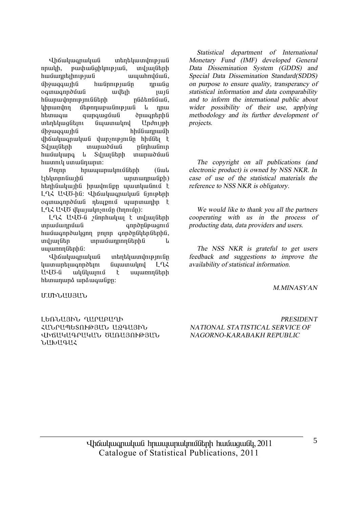Khauluuqnuuluu untau untuunun puu nnwyh, pwyhwaghynyayua, mylwyathh hամադրելիության ապահովման, umquaquing hulinnipiulin nnuliq oqunuqnpdûuli uyah qurd hնարավորությունների pu nathabang lıhnundnn utənnun ulinlən uli başlama htunwqw qwnqwquua dhuqntnhu untin by The Gulun China in The Underline Under uman unduring the summan and the summan of the summan of the summan of the summan of the summan of the summan o ihốuiliuonuiliun iliunsnipunifin hhiffiti F Syluyuthh munuoutuu nunhuutin hwuuuna *u* Synuguth munuduu hwunnly umwünwnm:

 $P$ nnn hnwwwnwynuntaith (Gwy <u>էլեկտրոնային</u> արտադրանքի) htinhuwunhu hnuuniup www. LLZ UUO-hū: Uhowywanwywa Giniptinh oquuqnpduua ntupnuu uunuunhn t LLK UUÖ yyuyuyning (hnniun):

LLX UUO-G 2Gnnhwyw t wylwigthh ïñ³Ù³¹ñÙ³Ý ·áñÍÁÝóóáõÙ hwuwqnpdwyqnn pninn qnpdputhputhui, ing in in in in in the material in the material in the material in the material in the material in the materia uwww.muthhu:

Վիճակագրական տեղեկատվությունը  $\lim_{x\to a}$  in Eq. (in the functional in Eq. ԱՎԾ-ն ակնկայում է սպառողների htunununa unauquuan:

*Statistical department of International Monetary Fund (IMF) developed General Data Dissemination System (GDDS) and Special Data Dissemination Standard(SDDS) on purpose to ensure quality, transperancy of statistical information and data comparability and to inform the international public about wider possibility of their use, applying methodology and its further development of projects.* 

*The copyright on all publications (and electronic product) is owned by NSS NKR. In case of use of the statistical materials the reference to NSS NKR is obligatory.* 

*We would like to thank you all the partners cooperating with us in the process of producting data, data providers and users.* 

*The NSS NKR is grateful to get users feedback and suggestions to improve the availability of statistical information.* 

#### *M.MINASYAN*

#### Ø.ØÆÜ²êÚ²Ü

#### ԼԵՌՆԱՅԻՆ ՂԱՐԱԲԱՂԻ вÜð²äºîàôÂÚ²Ü ²¼¶²ÚÆÜ dhallyllarlylli, blinllann@alli,  $\overline{D}$

*PRESIDENT NATIONAL STATISTICAL SERVICE OF NAGORNO-KARABAKH REPUBLIC* 

5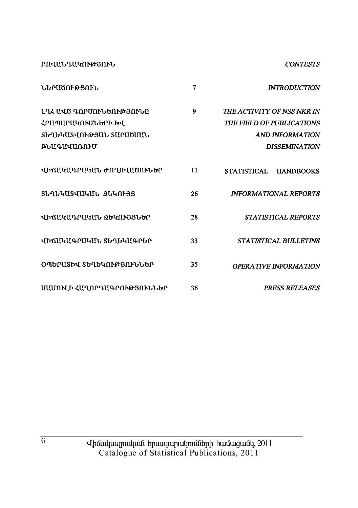**ՔՈՎԱՆԴԱԿՈՒԹՅՈՒՆ CONTESTS** ႦႧႲႧႶჁႧႽႶჁႱ  $\mathbf{7}$ **INTRODUCTION** ԼՂՀ ԱՎԾ ԳՈՐԾՈՒՆԵՈՒԹՅՈՒՆԸ  $\mathbf{Q}$ THE ACTIVITY OF NSS NKR IN ՀԲԱՊԱՐԱԿՈՒՄՆԵՐԻ ԵՎ THE FIELD OF PUBLICATIONS ՏԵՂԵԿԱՏՎՈՒԹՅԱՆ ՏԱՐԱԾՄԱՆ **AND INFORMATION ԲՆԱԳԱՎԱՌՈՒՄ DISSEMINATION** ՎԻճԱԿԱԳՐԱԿԱՆ ԺՈՂՈՎԱԾՈՒՆԵՐ  $11$ STATISTICAL HANDBOOKS ՏԵՂԵԿԱՏՎԱԿԱՆ ՁԵԿՈՒՅՑ 26 **INFORMATIONAL REPORTS** ՎԻճԱԿԱԳՐԱԿԱՆ ՋԵԿՈՒՅՑՆԵՐ 28 **STATISTICAL REPORTS** ՎԻՃԱԿԱԳՐԱԿԱՆ ՏԵՂԵԿԱԳՐԵՐ  $33<sup>°</sup>$ STATISTICAL BULLETINS ՕՊԵՐԱՏԻՎ ՏԵՂԵԿՈՒԹՅՈՒՆՆԵՐ 35 **OPERATIVE INFORMATION** ՄԱՄՈՒԼԻ ՀԱՂՈՐԴԱԳՐՈՒԹՅՈՒՆՆԵՐ 36 **PRESS RELEASES**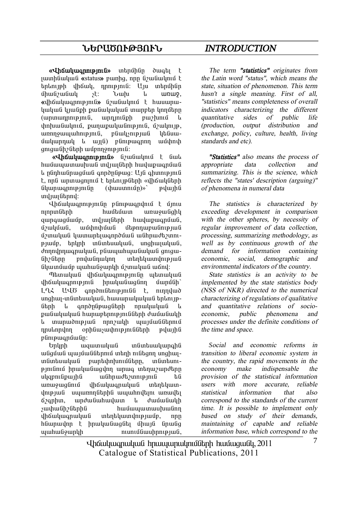# **ܺð²ÌàôÂÚàôÜ** *INTRODUCTION*

**«Վիճակագրություն»** տերմինը ծագել է **juunhuuluuluulu «status»** punhq, npp uzuluuluul talan veh uhándu, nomenalî: Un intonîhûn umuli shing is the shing of the series of the series of the series of the series of the series of the series o **«**վիճակագրություն» նշանակում է հասարակական կյանթի թանակական տարբեր կողմերը (unununnnup mui, unn muiph puz hunu  $\psi$ hhuu Gwynia, pwnwpwyw Gnipinia, úzwynip, unnnowwwhntpinta, pawyshiptua ytaunundunnul le muli) plintemonn munhath  $a$ m $a$ u $\beta$ h $\delta$ îhnh uufnnompunti $\cdot$ 

**«Վիճակագրություն»** նշանակում է նաև hwuwwwwwwwwwwwmunikahh hwywomuni L nlinhuílnuanuli onnðnlinua: Uíl ohinnininili t, nnն արտացոյում է երևույթների «վիճակների  $\lim_{n \to \infty}$ indiun fibrind:

**in** in the photosphare is the upon the union of the union of the union of the union of the union of the union of the union of the union of the union of the union of the union of the union of the union of the union of the nınnun ütnh huu buu buun hunduqhu qunququung, myuqutanh huyunguqnuua, Ú) uluðula braðahan að hannungar þeir að þeirra að þeirra hafa þeirra að þeirra hafa þeirra hafa þeirra hafa h ú *z*unuluu luunun buun nduu luuhnud b 2mmpjuuip, tinyh indintuulyiud, unghujulyiud, dnnnynnuqnuyuua, pauuyuhuyuauyua qniqu-GhzGhn polulonulon unbobluundo նկատմամբ պահանջարկի մշտական աճով:

Thanulu i ilhauluuqnnipinin utunuluu uhauluuannupinia hnuuluuguagin yunggh LLZ UUT annomultanupunula t, nunnyuno unghun-in Gintau bu G. huu un uu bu bu bahan pe ների և գործընթացների որակական և քանակական հարաբերությունների ժամանակի ้น เทนเทนเฮ้ทเคเนต์ nnn2นปก นเนเบ้นเติดิ<del>โ</del>กทเบ้ npulnpylnn ophüwywyhnipjni üütiph pywihü pünipwqnuuuin:

Undam biling infinitional taling taling taling taling taling taling taling taling taling taling taling taling t uliguuli yuuluuluudunud ulah nilitann unghulin Guntau undung puntah puntahan, in Guntan $p$ inininin bhuabhadha ann an an aise is iad an aise is iad an aise is in the international parameters uyqpnı üpunhü u ühnud topnu bü unwywqlini yhowywqnwywli intipatywndniejwű uww.nnuthhu www.hndtini wnwdti 67qnhun, unduluuhuuluun la duuluuluuluh *չ*ափանիշներին hամապատասխանող վիճակագրական տեղեկատվությամբ, որը hնարավոր է իրականացնել միայն նրանց  $\mu$  $\mu$  and  $\mu$  and  $\mu$  and  $\mu$  and  $\mu$  and  $\mu$  and  $\mu$ 

*The term "statistics" originates from the Latin word "status", which means the state, situation of phenomenon. This term hasn't <sup>a</sup> single meaning. First of all, "statistics" means completeness of overall indicators characterizing the different quantitative sides of public life (production, output distribution and exchange, policy, culture, health, living standards and etc).* 

*"Statistics" also means the process of appropriate data collection and summarizing. This is the science, which reflects the "states' description (arguing)" of phenomena in numeral data* 

*The statistics is characterized by exceeding development in comparison with the other spheres, by necessity of regular improvement of data collection, processing, summarizing methodology, as well as by continuous growth of the demand for information containing economic, social, demographic and environmental indicators of the country.* 

*State statistics is an activity to be implemented by the state statistics body (NSS of NKR) directed to the numerical characterizing of regulations of qualitative and quantitative relations of socioeconomic, public phenomena and processes under the definite conditions of the time and space.* 

*Social and economic reforms in transition to liberal economic system in the country, the rapid movements in the economy make indispensable the provision of the statistical information users with more accurate, reliable statistical information that also correspond to the standards of the current time. It is possible to implement only based on study of their demands, maintaining of capable and reliable information base, which correspond to the* 

Uhauluuqnuluuli hnuuuunulmulitah huuluquuli, 2011 Catalogue of Statistical Publications, 2011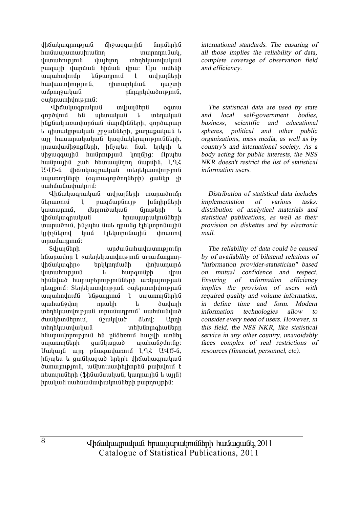tháwywanny jwa uhowgawiha unnutinha hwu www.munikali.com hwu www.munikali.com hwu wa mwaka wa wakatifu wa wakatifu wa wakatifu wa wakatifu wa wa w<br>Marejeo iliyofanyika wa wakatifu wa wakatifu wa wakatifu wa wakatifu wa wakatifu wa wakatifu wa wakatifu wa wa dumuhnipjnia dujann inantiquindudua pwqwih ywnuu hhuwu ynw: Uju wutuh ապահովումը ենթադրում է տվյայների hwywwnhnipinia, nhunwnyuwa nwinh uunguunguungudud mungupuluungungudud mungupuluk halang pada halang pada halang pada halang pada halang pada ha owhnwunhunupinia:

Ihauluuanuluua uuluulaha oamu anndynu tu untunuluu u untunuluu ինքնակառավարման մարմինների, գործարար <u>։</u><br>• գիտակրթական շրջանների, քաղաքական և un huuunuluuluu luuquultnunupmililtnh. munduuihong utinh, husubu uul tingin l uhowqqwihu hwunnipjwu ynnuhq: Onwtu  $h$ անդային  $\gamma$ աի hետապնդող մարմին,  $\tilde{L}$ 2 $\zeta$ UՎԾ-ն վիճակագրական տեղեկատվություն uyunnnuth (oqunuqnnonnuthh) quuunn sh uwhuuuuuhwuhuu:

**i** informational indianal indianal indianal india ներառում է բազմաբնույթ խնդիրների  $\lim_{n\to\infty}$  (bppndululu αυτοποίη τ íÇ׳ϳ·ñ³Ï³Ý Ññ³å³ñ³ÏáõÙÝ»ñÇ munuðniu, húsultu aul nnulig titlunnnaunha linh in lund tiblinn film in thounnd unuuunnuu:

Sul iungunah ang bahangga bahasa sekara sekara di Sulawang Bahasa Sulawa Sulawa Sulawa Sulawa Sulawa Sulawa Su hնարավոր է «տեղեկատվություն տրամադրողվիճակագիր» երկկողմանի փոխադարձ dunun in pungu i qunun hupqu in d hhu Gujuð hunuptinni pindutinh unljuni pjud դեպքում: Sեղեկատվության օպերատիվության ապահովումն ենթադրում է սպառողներին www.mullen.com undulup www.mullen.com undulup inthuundhip juli innuunnini uuhuululud dwuutuu Ghandi, unuutuud almu: Unnh տեղեկատվական տեխնոլոգիաները hնարավորություն են ընձեռում hաշվի առնել uyunnnutanh quu uyuquo yuuhuu uyunnnutan: Uwywia win pawqwywnni LLX UU6-a, ինչպես և ցանկացած երկրի վիճակագրական dunumpmü, uühmuuuhtihnptü puhulnu t  $n$ եսուրսների (ֆինանսական, կադրային և այլն) իրական սահմանափակումների բարդույթին:

*international standards. The ensuring of all those implies the reliability of data, complete coverage of observation field and efficiency.* 

*The statistical data are used by state and local self-government bodies, business, scientific and educational spheres, political and other public organizations, mass media, as well as by country's and international society. As <sup>a</sup> body acting for public interests, the NSS NKR doesn't restrict the list of statistical information users.* 

*Distribution of statistical data includes implementation of various tasks: distribution of analytical materials and statistical publications, as well as their provision on diskettes and by electronic mail.* 

*The reliability of data could be caused by of availability of bilateral relations of "information provider-statistician" based on mutual confidence and respect. Ensuring of information efficiency implies the provision of users with required quality and volume information, in define time and form. Modern information technologies allow to consider every need of users. However, in this field, the NSS NKR, like statistical service in any other country, unavoidably faces complex of real restrictions of resources (financial, personnel, etc).* 

Uhauluuqnuluuli hnuuyunulmulitah huuluquuli, 2011 Catalogue of Statistical Publications, 2011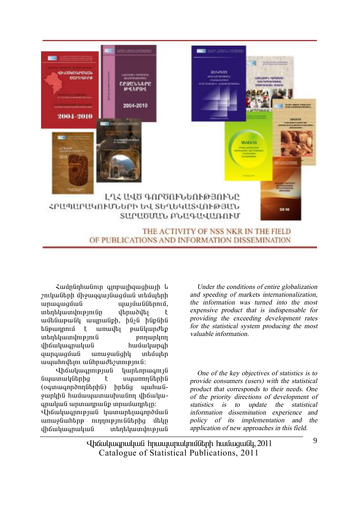

Համընդհանուր գյոբայիցացիայի և  $2$ ուկաների միջազգայնազման տեմպերի ³ñ³·³óÙ³Ý å³ÛÙ³ÝÝ»ñáõÙ, unan ang mang tahun karatanan diaraman diaraman diaraman diarah karakatan di kacamanan di kacaman di kacaman d<br>Kacamanan diaramanyakan diaramanyakan diaramanyakan diarah diarah karakatan di kacaman di kacaman di dalam dia ամենաթանկ ապրանքի, ինչն ինքնին túpwnnnu t wnwyt pw úywndtp unan burgada islam kungkungkungkan di terletak di antara terletak di adalah sebanjak alah sahiji dari sebanjak<br>Ini dialah sahiji dalam kalendar atas dalam kalendar dalam kalendar dan kalendar dan kalendar dan sebanjak ter<br> վիճակագրական hամակարգի qunququuli unu qulqhy intuutin www.hnultini wuhnudti/wnipinuli:

**Ihauluuannipiwa** luunlinnwanija Gwwww. (oquuuqnpdnnutiphu) hptug uyuhuu ywphha hwuwwwwwwwwm uhawywqnwywG wnwwnpwGp inpuitunphin:

Վիճակագրության կատարելագործման unuy Guhtin ninni hafataha duqn վիճակագրական տեղեկատվության

*Under the conditions of entire globalization and speeding of markets internationalization, the information was turned into the most expensive product that is indispensable for providing the exceeding development rates for the statistical system producing the most valuable information.* 

*One of the key objectives of statistics is to provide consumers (users) with the statistical product that corresponds to their needs. One of the priority directions of development of statistics is to update the statistical information dissemination experience and policy of its implementation and the application of new approaches in this field.* 

Uhauluuqnuluuli hnuuuunulmulitah huuluquuli, 2011 Catalogue of Statistical Publications, 2011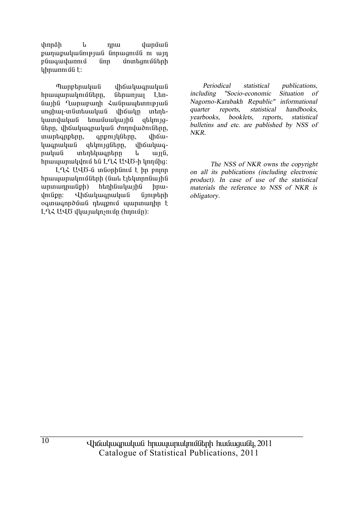thnnah վաոման 1. nnu քաղաքականության նորացումն ու այդ բնագավառում  $finn$ մոտե**ցու**մների  $uhnumu$ 

Պարբերական վիճակագրական **h**pwww.pwynuitabpp.  $6$ երառյալ  $L$ tnնային Ղարաբաղի Հանրապետության սոցիալ-տնտեսական վիճակը untintiեռամսակային կատվական atilmuaները, վիճակագրական ժողովածուները, muntanptnn, qnpnyuutun, uhow**hwanwhwG** gtynyggtnn. dhawywaրական տեղեկագրերը  $u_{\text{II}}$  $\theta$ , **u** hnwwwnwydnig ta LLL UU6-h ynnunging:

LQ2 UQ6-ն տնօրինում է իր բոլոր հրապարակումների (նաև էլեկտրոնային  $unununnu$ (iph) htinhuwuluu ihu hnu-*<u>Uhauluuanuluufi</u>* dmfipn:  $ûn$ ogunugnnouug ntupnu ujunununhn t LLL ULO dhunuhnsnin (hnnin):

Periodical statistical publications. including "Socio-economic Situation of Nagorno-Karabakh Republic" informational quarter reports. statistical handbooks. vearbooks. booklets. reports. statistical bulletins and etc. are published by NSS of NKR.

The NSS of NKR owns the copyright on all its publications (including electronic product). In case of use of the statistical materials the reference to NSS of NKR is obligatory.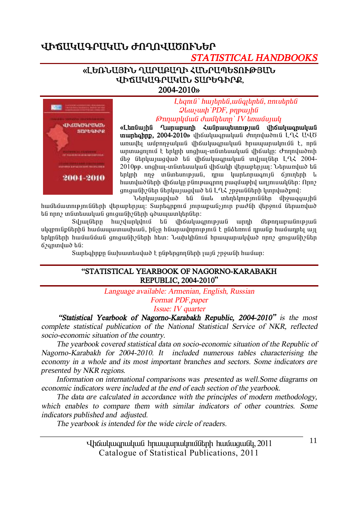# **ՎԻՃԱԿԱԳՐԱԿԱՆ ԺՈՂՈՎԱԾՈՒՆԵՐ**

# *STATISTICAL HANDBOOKS*

#### «ԼԵՌՆԱՅԻՆ ՂԱՐԱԲԱՂԻ ՀԱՆՐԱՊԵՏՈՒԹՅԱՆ **uhauyuyawwww.surbahre. 2004-2010¦**



 $L$ *banı G`hwibnbû, wûoibnbû, nni ubnbû*  $Q$ *lauswah PDF*, *pnpwtha <i><u><del>Onnunluu (juuluuut)</del> IV bnuuvuudi* </u>

«Languing Quinununh < weninun binang dhoulungulung **inuintahnp. 2004-2010**<sup>b</sup> thouthwanwhuit dnnntuionit L L UVO unuulti wunnowywa yhawywanwywa hnuu wunuunuu t. nna ununugninu t Enlinh unghui-indintujululu ilhoulin: *d*rinnuluonih  $\hat{a}$  use the interpretational value in the matrix of  $\hat{a}$  and  $\hat{b}$  and  $\hat{c}$  is the  $\hat{a}$  in  $\hat{b}$  is a  $\hat{c}$  and  $\hat{c}$  and  $\hat{c}$  and  $\hat{c}$  and  $\hat{c}$  and  $\hat{c}$  and  $\hat{c}$  and  $\hat{c}$  and  $\hat{c}$  $2010$ pp. unghuy-in funtu iu lu yho ulphulan ytmuri van kungung tu i tnunh nno wuntunupuun, nnu uwntunnugnun quomanh t  $h$ ium $\mu$ uð $\hat{a}$ thn $\mu$  há $\mu$ ln $\hat{a}$  pínipungn $\eta$  pugu $\hat{a}$ uphy uninum $\hat{a}$ thn $\hat{b}$ qnıqwüh (übplyujwquud bū Ln 2 ppuluutah yunyudomul:

Umhunuaduð tú úwh mantympinillinn úhowgawihli  $h$ ամեմատությունների վերաբերյալ: Sարեգրթում յուրաթանչյուր բաժնի վերջում ներառված  $t$ նն որոշ տնտեսական զուցանիշների գծապատկերներ:

Sılıwı üben huvlunlulnığ bû ilh yayanın biya unnh übənnun yunlurların birindirik bir birinin birindirik birini uկզբունքներին համապատասխան, ինչը հնարավորություն է ընձեռում դրանք համադրել այլ  $\n **hlu**îuûûûûûî qnıquûh/ûbph hatin: **Uulhi**finû **hnuu**unuunluluð **nn**2 **anıq**uûh2ûbn$ á<sub>29</sub>nmuluð hli:

Sարեգիրքը նախատեսված է ընթերցողների լայն շրջանի համար:

#### **"STATISTICAL YEARBOOK OF NAGORNO-KARABAKH REPUBLIC, 2004-2010"**

*Language available: Armenian, English, Russian* 

*Format PDF,paper* 

#### *Issue: IV quarter*

 *"Statistical Yearbook of Nagorno-Karabakh Republic, 2004-2010" is the most complete statistical publication of the National Statistical Service of NKR, reflected socio-economic situation of the country.* 

*The yearbook covered statistical data on socio-economic situation of the Republic of Nagorno-Karabakh for 2004-2010. It included numerous tables characterising the economy in <sup>a</sup> whole and its most important branches and sectors. Some indicators are presented by NKR regions.* 

*Information on international comparisons was presented as well.Some diagrams on economic indicators were included at the end of each section of the yearbook.* 

*The data are calculated in accordance with the principles of modern methodology, which enables to compare them with similar indicators of other countries. Some indicators published and adjusted.* 

*The yearbook is intended for the wide circle of readers.* 

Uhauluugnuluu hnuuunulmuumulinh huuuquuul, 2011 Catalogue of Statistical Publications, 2011

11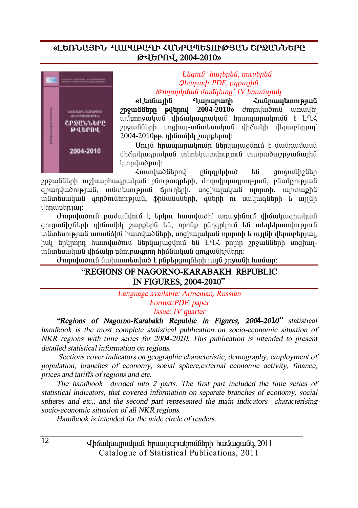# «ԼԵՌՆԱՅԻՆ ՂԱՐԱԲԱՂԻ ՀԱՆՐԱՊԵՏՈՒԹՅԱՆ ՇՐՋԱՆՆԵՐԸ **Âìºðàì, 2004-2010¦**



#### $L$ *tamû` hwitntû, nniutntû*  $Q$ *luuywyh PDF*, *pnpwyhû <i><u><del>Onnunluŭuli duvilitan' IV tinuvianuli</u>*</u></del>

«Langunha Qunununh Zugnunun mpug **znowüütinn pultnnu 2004-2010**» dnnnuwdnuu wuultu uuðpnnowluud dhówluuanwluud hnwwwnwlmudd t LQ2 znowülütnh unghwi-inlintumuluuli ilhawh iltinuptinun  $2004-2010$ pp. nhuuushl  $\gamma$ unphnnul:

Unı jû hnuu unuu yunun ütan bunun dinin turkiyeti վիճակագրական տեղեկատվություն տարածաշրջանային lunnyludpny:

 $\lambda$  *L*und *w*ô *τ*ίλί *τία του δία του απολ*ούλου του δία του δία του λέπου του δία του δία του δία του δία του δία του δία του δία του δία του δία του δία του δία του δία του δία του δία του δία του δία του δία του δία  $2n$ ջանների ա $2$ խարիագրական բնութագրերի, ժողովրդագրության, բնակ $\overline{n}$ րդելան apunduompjula, induntumpjula ojnintinh, unghujulqua ninpinh, iupiniupha  $i$ ոնտեսական գործունեության, ֆինանսների, գների ու սակագների և այլնի dbnurbhuu:

 $\sigma$ nnnyluðnil puvtulynin t tinyni huunyluðh` unuvahlinin yhayyinginulyul gnigwühzütinh nhüwühli zwnptinü tiü, nnnüp nüngnlinin tiü intintiliwinilinipiniü  $i$ մնոեսության առանձին հատվածների, սոցիայական ոյորտի և այյնի վերաբերյայ hul tnlinnnn hwinlwðnið Gtnliwiwgilnið tið LAZ eninn 2n9wGGtnh unghwiïÝï»ë³Ï³Ý íÇ׳ÏÁ µÝáõó·ñáÕ ÑÇÙݳϳÝ óáõó³ÝÇßÝ»ñÁ:

 $\sigma$ nnnվածուն նախատեսված է ընթերգողների լայն շրջանի համար:

#### **"REGIONS OF NAGORNO-KARABAKH REPUBLIC IN FIGURES, 2004-2010"**

#### *Language available: Armenian, Russian Format:PDF, paper Issue: IV quarter*

*"Regions of Nagorno-Karabakh Republic in Figures, 2004-2010" statistical handbook is the most complete statistical publication on socio-economic situation of NKR regions with time series for <sup>200</sup>4-2010. This publication is intended to present detailed statistical information on regions.* 

*Sections cover indicators on geographic characteristic, demography, employment of population, branches of economy, social sphere,external economic activity, finance, prices and tariffs of regions and etc.* 

*The handbook divided into 2 parts. The first part included the time series of statistical indicators, that covered information on separate branches of economy, social spheres and etc., and the second part represented the main indicators characterising socio-economic situation of all NKR regions.* 

*Handbook is intended for the wide circle of readers.*

Uhauluugnuluu hnuuunulmuumulinh huuuquuul, 2011 Catalogue of Statistical Publications, 2011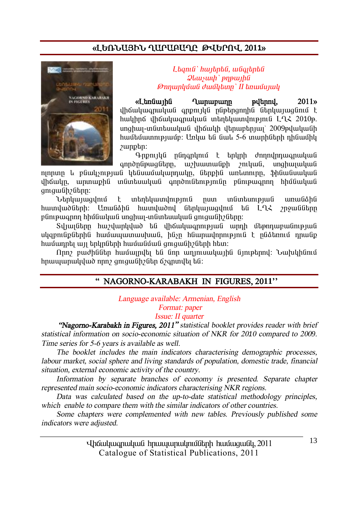# **§ÈºèÜ²ÚÆÜ Ô²ð²´²ÔÀ Âìºðàì« 2011¦**



 $L$ *bqnı* $\hat{a}$ *` hwibnbû, wûqibnbû*  $\mathcal{Q}$ *lauywh* ` pnpwihû *<i><u><del>Onnunluu (juu)</u> duu liban' II bnuu liuli*</u></del>

«Ltnum) **Cananga Caracaia** Cumungum and the control of the control and the control of the control of the control of the control of the control of the control of the control of the control of the control of the control of t uhճակագրական գոթույկն ընթերցողին ներկայացնում է hwyhnő yhówywanwywa intintywinyhipinia LQ2 2010p. inahiii-indintuuluud ilhaulth iltnuichpiuj` 2009pyluluudh  $h$ ամեմատությամբ: Unliw են նաև 5-6 տարիների ռինամիկ  $\mu$ unphn:

 $Q$ -npnylu ngnonlunu t talunh dnnnulnnuuqnuuluu annðnüpwaütnn, whuwmwüph myuwui, unghwuwuu

nınnun և բնակչության կենսամակարդակը, ներքին առևտուրը, ֆինանսական վիճակը, արտաքին տնտեսական գործունեությունը բնութագրող հիմնական gnigwűhzűtinn:

Ներկայացվում է տեղեկատվություն ըստ տնտեսության առանձին hատվածների։ Առանձին hատվածով ներկայազվում են L-ՂՀ շրջանները pünipwqnnn hhuuuluuu unghwi-inuutuuluuu qanqwuhalinn:

 $S$ վյայները հաշվարկված են վիճակագրության արդի մեթոդաբանության uliapniliplianhli hwuuwwwwwwwwli. hlisn hliwnwynmuninia k nliatannu nnwlip hամադրել այլ երկրների hամանման ցուցանիշների hետ:

Nnn բաժիններ համայրվել են նոր աղյուսակային նյութերով։ Նախկինում hnwwwnwydwd nnn qmqwGh Gin Ganwylt ba:

## **" NAGORNO-KARABAKH IN FIGURES, 2011''**

*Language available: Armenian, English Format: paper* 

*Issue: II quarter* 

 *"Nagorno-Karabakh in Figures, 2011" statistical booklet provides reader with brief statistical information on socio-economic situation of NKR for <sup>20</sup>1<sup>0</sup> compared to <sup>200</sup>9. Time series for 5-6 years is available as well.* 

*The booklet includes the main indicators characterising demographic processes, labour market, social sphere and living standards of population, domestic trade, financial situation, external economic activity of the country.* 

*Information by separate branches of economy is presented. Separate chapter represented main socio-economic indicators characterising NKR regions.* 

*Data was calculated based on the up-to-date statistical methodology principles, which enable to compare them with the similar indicators of other countries.* 

*Some chapters were complemented with new tables. Previously published some indicators were adjusted.* 

> Uhauluugnuluu hnuuunulmuumulinh huuuquuul, 2011 Catalogue of Statistical Publications, 2011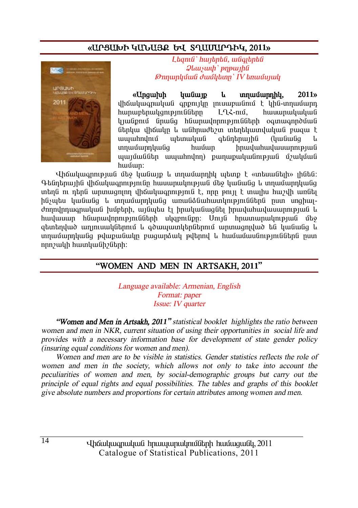# «ԱՐՑԱԽԻ ԿԱՆԱՅՔ ԵՎ ՏՂԱՄԱՐԴԻԿ, 2011»



Lhanıli' hunhabli, yulandaki  $\mathcal{Q}$ *lausuuh* ` pnp $\mu$ *<u>Onnunluuli duullunn' IV tinuuluuli</u>* 

«Ungwhuh **humfurn**  $\mathbf{L}$ unnuuunnhu.  $2011<sub>9</sub>$ վիճակագրական գրթույկը յուսաբանում է կին-տղամարդ հարաբերակցությունները  $1 \Omega$  -nui. huuunuluuluufi կյանթում նրանց հնարավորությունների օգտագործման ներկա վիճակը և անհրաժեշտ տեղեկատվական բացա է www.hnunu wtmwhw atiintinuuhli *Annfimfia*  $\mathbf{1}_{\mathbf{1}}$ າກການນຳນ<mark>າກ</mark>ປານທິດ hunfum  $h$ nuuluuhuuluuunnunuufi պարմաններ ապահովող) քաղաքականության մշակման hwuun:

Վիճակագրության մեջ կանայք և տղամարդիկ պետք է «տեսանելի» լինեն։ Գենդերային վիճակագրությունը հասարակության մեջ կանանց և տղամարդկանց տեղն ու դերն արտացոլող վիճակագրություն է, որը թույլ է տայիս հաշվի առնել ինչպես կանանց և տղամարդկանց առանձնահատկություններն ըստ սոցիալժողովրդագրական խմբերի, այնպես էլ իրականացնել իրավահավասարության և հավասար հնարավորությունների սկզբունթը։ Սույն հրատարակության մեջ ցետեոված աղյուսակներում և գծապատկերներում արտացոլված են կանանց և տղամարդկանց թվաքանակը բացարձակ թվերով և համամասնություններն ըստ nnn *z*uulh huunluu Gh 2 Gtanh:

# "WOMEN AND MEN IN ARTSAKH, 2011"

Language available: Armenian, English Format: paper *Issue: IV quarter* 

"Women and Men in Artsakh, 2011" statistical booklet highlights the ratio between women and men in NKR, current situation of using their opportunities in social life and provides with a necessary information base for development of state gender policy (insuring equal conditions for women and men).

Women and men are to be visible in statistics. Gender statistics reflects the role of women and men in the society, which allows not only to take into account the peculiarities of women and men, by social-demographic groups but carry out the principle of equal rights and equal possibilities. The tables and graphs of this booklet give absolute numbers and proportions for certain attributes among women and men.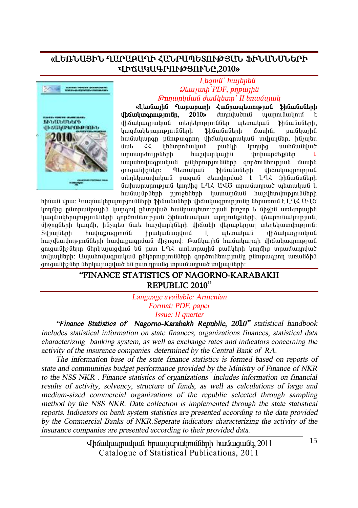#### **§ÈºèÜ²ÚÆÜ Ô²ð²´²ÔÆ вÜð²äºîàôÂÚ²Ü üÆÜ²ÜêܺðÆ ìÆÖ²Î²¶ðàôÂÚàôÜÀ,2010¦**



#### L*bamû` hwibnbû*  $Q$ *lauswh PDF*, *pnpwtha @nnunluvuli duuvlutun' II tinuvunuli*

«Languing Quinununh Zugnumatunni bili Shauguganh **íháwhwannipiniún. 2010**» *dnnnywðni* www.miguyni in an in an in an in the baid in the university of the university of the university of the university of the u lzwquulut iyo ng bhawa bağanlar bunda, pullunla huusuunan runnann uhouluuanuluug induugtin, hasutu  $\lim_{\lambda \to 0}$  interpretational publish unauther una distribution ununundnup ühnhan huzulunluun haban inhuundup ühn www.hndwqnwywG nGytpntpintGGtph qnpdntGtntpjwG dwuhG gnigwühzütin: Thunwhuu Shuwuuutinh ilhawhuunnipjuu unant und wel na pung ta bundandun tengah bahasa bahasa dan kantu dan kantu dan kantu dan kantu dan kantu dan նախարարության կողմից L-L UUԾ տրամադրած պետական և hwuu1GpGtph pm9tGtph ywnwpuwG hw2ytunynpmGGtph

hիման վրա։ Կազմակերպությունների ֆինանսների վիճակագրությունը ներառում է Լ.ՂՀ ԱՎԾ կողմից ընտրանքային կարգով ընտրված հանրապետության խոշոր և միջին առևտրային կազմակերպությունների գործունեության ֆինանսական արդյունքների, վճարունակության, uhonglitnh luyquh, hüsurtu liwl husulunlulitnh ilhayuh iltnungtnuu intintuununununun  $S$ վյայների հավաքագրումն իրականազվում է պետական վիճակագրական <u>hաշվետվությունների հավաքագրման միջոզով։ Բանկային համակարգի վիճակագրության</u> գուցանիշները ներկայազվում են ըստ ԼՂՀ առևտրային բանկերի կողմից տրամադրված inlugübnh: Uwwhnywanwywü nüytnnymiüütnh annoniütniymiün pünipwannn wnwüðhü ցուցանիշներ ներկայացված են ըստ դրանց տրամադրած տվյալների:

### **"FINANCE STATISTICS OF NAGORNO-KARABAKH REPUBLIC 2010"**

*Language available: Armenian Format: PDF, paper Issue: II quarter*

*"Finance Statistics of Nagorno-Karabakh Republic, 2010" statistical handbook includes statistical information on state finances, organizations finances, statistical data characterizing banking system, as well as exchange rates and indicators concerning the activity of the insurance companies determined by the Central Bank of RA.* 

*The information base of the state finance statistics is formed based on reports of state and communities budget performance provided by the Ministry of Finance of NKR to the NSS NKR . Finance statistics of organizations includes information on financial results of activity, solvency, structure of funds, as well as calculations of large and medium-sized commercial organizations of the republic selected through sampling method by the NSS NKR. Data collection is implemented through the state statistical reports. Indicators on bank system statistics are presented according to the data provided by the Commercial Banks of NKR.Seperate indicators characterizing the activity of the insurance companies are presented according to their provided data.* 

> Uhauluuqnuluuli hnuuuunulmulitah huuluquuli, 2011 Catalogue of Statistical Publications, 2011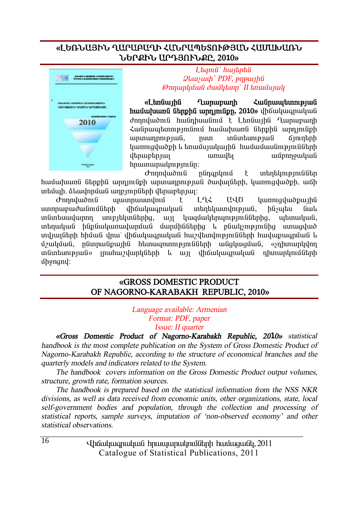### «ԼԵՌՆԱՅԻՆ ՂԱՐԱԲԱՂԻ ՀԱՆՐԱՊԵՏՈՒԹՅԱՆ ՀԱՄԱԽԱՌՆ **ܺðøÆÜ ²ð¸ÚàôÜøÀ, 2010¦**



#### L**baní** bunghta  $Q$ *luuyuuh* PDF, *pnpwlla @nnunluuli duulltunn* II *tinuuluulu*

«Ltangunha Qumununh **Lumundungung Kaba huuuuunu Guhphu unnimuph, 2010**, dhouuuqnuuuu dnnnywoni hwanhuwani t Ltnawiha Lunwewnh Հանրապետությունում համախառն ներքին արդյունքի unununnnupuuli, nuun inlinkunupuuli Kininkinh <u>uunniquuð ph u tinuu uu uu hu huu vuu vuunnipini vuotinh</u> dan ar an an an air an air an air an air an air an air an air an air an air an air an air an air an air an air hnwmwnwyntpjntûn:

Jerna Jahan Karandaria kuning ta iya karang barang dan dina barang din dina karakteun din din din din din din<br>Kabupatèn Indonesia Karandaria Indonesia Karakteun din dina karakteun din dina karakteun din din din din din d hամախառն ներթին արդյունթի արտադրության ծավայների, կառուցվածթի, աճի untuun, sluudnnuu unpunnutun danuptnuu:

d mnuluonlu uluunnuuundnu t LLL UUO hunniquuopuiha ստորաբաժանումների վիճակագրական տեղեկատվության, ինչպես նաև  $i$ մմտեսավարող սուբյեկտներից, այլ կազմակերպություններից, պետական, intinuluu hüpüwlumuulumüwü üwnühüütinha k püwlisnipiniüha umwaylud տվյալների հիման վրա՝ վիճակագրական հաշվետվությունների հավաթագրման և u32uyùwG, nGunnwGpwphG htunwgnunnyppuGGtph wGgluuguwG, «snhunwpylnn in Guntum pjulov in uhu zyuphan hang in dhawung manang na nanyin data n ÙÇçáóáí:

#### **§GROSS DOMESTIC PRODUCT OF NAGORNO-KARABAKH REPUBLIC, 2010¦**

*Language available: Armenian Format: PDF, paper Issue: II quarter* 

*§Gross Domestic Product of Nagorno-Karabakh Republic, 2010¦ statistical handbook is the most complete publication on the System of Gross Domestic Product of Nagorno-Karabakh Republic, according to the structure of economical branches and the quarterly models and indicators related to the System.* 

*The handbook covers information on the Gross Domestic Product output volumes, structure, growth rate, formation sources.* 

*The handbook is prepared based on the statistical information from the NSS NKR divisions, as well as data received from economic units, other organizations, state, local self-government bodies and population, through the collection and processing of statistical reports, sample surveys, imputation of 'non-observed economy' and other statistical observations.*

> Uhauluugnuluu hnuuunulmuumulinh huuuquuul, 2011 Catalogue of Statistical Publications, 2011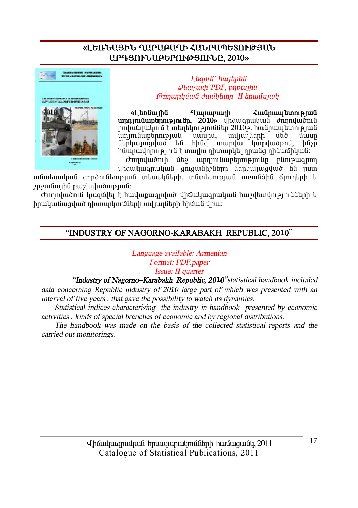# «ԼԵՌՆԱՅԻՆ ՂԱՐԱԲԱՂԻ ՀԱՆՐԱՊԵՏՈՒԹՅԱՆ ԱՐԴՅՈՒՆԱԲԵՐՈՒԹՅՈՒՆԸ, 2010»



#### Lagnia huitanta **Qluusuuh** PDF, pnpuuha *Onnunluufi duuflitum' II tinuufunuli*

«LbnGwihG **Tunumunh** *<u>Հանրապետության</u>* unnimuuptinnipimun, 2010» yhouuqnuuquu dnnnyuontu բովանդակում է տեղեկություններ 2010թ. հանրապետության  $unl<sub>1</sub>u<sub>1</sub>$ munh<sub>0</sub>  $156$  $\tilde{m}$ նեոկայացված են hhûa mundu lunndudopnd. hûsn հնարավորություն է տայիս դիտարկել դրանց դինամիկան։

*d*mnulwonth մեջ  $unnin$ նաբերությունը ընութագրող վիճակագրական ցուցանիշները ներկայացված են ըստ

տնտեսական գործունեության տեսակների, տնտեսության առանձին ճյուղերի և 2n9w Gw1hG pw2hulwomp1wG:

Ժողովածուն կազմվել է հավաթագրված վիճակագրական հաշվետվությունների և իրականացված ռիտարկումների տվյայների իիման վրա։

# "INDUSTRY OF NAGORNO-KARABAKH REPUBLIC, 2010"

Language available: Armenian Format: PDF paper Issue: II quarter

"Industry of Nagorno-Karabakh Republic, 2010" statistical handbook included data concerning Republic industry of 2010 large part of which was presented with an interval of five years, that gave the possibility to watch its dynamics.

Statistical indices characterising the industry in handbook presented by economic activities, kinds of special branches of economic and by regional distributions.

The handbook was made on the basis of the collected statistical reports and the carried out monitorings.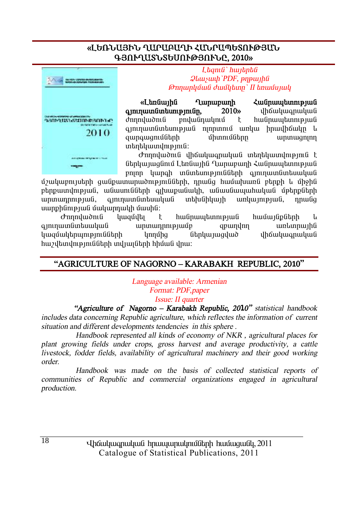# «ԼԵՌՆԱՅԻՆ ՂԱՐԱԲԱՂԻ ՀԱՆՐԱՊԵՏՈՒԹՅԱՆ **¶ÚàôÔ²îÜîºêàôÂÚàôÜÀ, 2010¦**



L**baní** bulthan  $\mathcal{Q}$ *luusuuh* `PDF, pnpwyhû *@nnunluuti duutlann* II **b**nuutunul

«Landiunha Qumununh **Lufinium Andien A ammuununtumpmuntum** 2010» uhauluuqnuluud  $d$ nnnlu $\delta$ nı $\hat{u}$  nnlu $\hat{u}$ nnlu $\hat{u}$   $\uparrow$  hufinumbunnenufi aininwunguhtunipiwg ninnunnig wirkiw hnwilhawkn 4 awnawanuutah uhunuutahan ununwaninn  $infinitum$ une $in$ 

 $\sigma$ nnnywònig yhowywonwywa inthywinyhiping t ներկայացնում Լեռնային Ղարաբաղի Հանրապետության pnınn կարգի տնտեսությունների գյուղատնտեսական

մշակաբույսերի ցանքատարածությունների, դրանց համախառն բերքի և միջին ptppww.qmpjwG, wGwumGGtph qjtuupwGwyh, wGwuGwywhwywG մթtppGtph unununnnupjuuG, qininuunGuntuuyuuG unthuGhluujh wirlunipjuuG, nnwGq uwnphնnւթյան մակարդակի մասին:

Ժողովածուն կազմվել է հանրապետության համայնքների և ·ÛáõÕ³ïÝï»ë³Ï³Ý ³ñï³¹ñáõÃÛ³Ùµ ½µ³ÕíáÕ ³é¨ïñ³ÛÇÝ կազմակերպությունների կողմից ներկայազված վիճակագրական  $h$ աշվետվությունների տվյայների հիման վրա:

# **"AGRICULTURE OF NAGORNO – KARABAKH REPUBLIC, 2010"**

*Language available: Armenian Format: PDF,paper Issue: II quarter*

 *"Agriculture of Nagorno – Karabakh Republic, 2010" statistical handbook includes data concerning Republic agriculture, which reflectes the information of current situation and different developments tendencies in this sphere .* 

 *Handbook represented all kinds of economy of NKR , agricultural places for plant growing fields under crops, gross harvest and average productivity, <sup>a</sup> cattle livestock, fodder fields, availability of agricultural machinery and their good working order.* 

 *Handbook was made on the basis of collected statistical reports of communities of Republic and commercial organizations engaged in agricultural production.*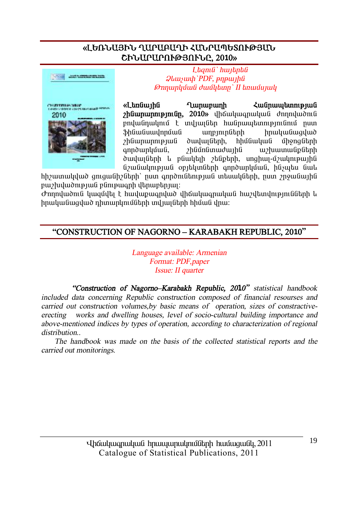# «ԼԵՌՆԱՅԻՆ ՂԱՐԱԲԱՂԻ ՀԱՆՐԱՊԵՏՈՒԹՅԱՆ ՇԻՆԱՐԱՐՈՒԹՅՈՒՆԸ, 2010»



Lagnia huitantia  $Q$ *luusuuli* 'PDF,  $p$ n $p$ *uuli*la *<u>Onnunluuti duutlumn' II tinuutujuuli</u>* 

«Lunduutha **Tunununh** *<u><b>Հանոաաետության</u> rhümmunnnpinnun*, 2010» վիճակագրական ժողովածուն բովանդակում է տվյայներ հանրապետությունում ոստ **Shliwliuwdnnuwli umpmmmundinh** hnuuuuuuquud *r*hüwnwnntpjwü duuluufibnh. hhufuuluufi *u*honafitnh qnndwnluuua, *2hüunümwdwihü* w/wwwwu6p6tnh duuluu Ganh le puuluu balabah. unghuu-u zuulmeuu hu նշանակության օբյեկտների գործարկման, ինչպես նաև

hh zuun ululu o gnigui an hima manan qandan badan badan badan badan ya ya kulu ha pwerlung puli puntena dan dikampun dan dan dan menjadi puncera dan menjadi puncera dan dan dan dan dan dan dan

Ժողովածուն կազմվել է հավաքագրված վիճակագրական հաշվետվությունների և իրականագված դիտարկումների տվյայների հիման վրա։

# "CONSTRUCTION OF NAGORNO - KARABAKH REPUBLIC, 2010"

Language available: Armenian Format: PDF, paper Issue: II quarter

"Construction of Nagorno-Karabakh Republic, 2010" statistical handbook included data concerning Republic construction composed of financial resourses and carried out construction volumes, by basic means of operation, sizes of constractiveworks and dwelling houses, level of socio-cultural building importance and erecting above-mentioned indices by types of operation, according to characterization of regional distribution..

The handbook was made on the basis of the collected statistical reports and the carried out monitorings.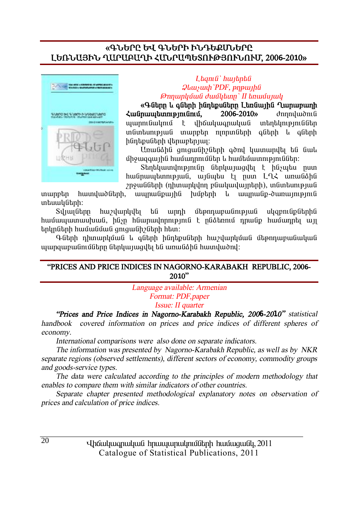#### **§¶ÜºðÀ ºì ¶ÜºðÆ ÆÜ¸ºøêܺðÀ ȺèÜ²ÚÆÜ Ô²ð²´²ÔÆ вÜð²äºîàôÂÚàôÜàôØ, 2006-2010¦**



#### *È»½áõÝ` ѳۻñ»Ý*   $Q$ *lauswah PDF*, *pnpwtha <i><u><del>Onnunluu ii</del>*</u> *duu lum' II tauu uu lu*

**§¶Ý»ñÁ ¨ ·Ý»ñÇ ÇÝ¹»ùëÝ»ñÁ È»éݳÛÇÝ Ô³ñ³µ³ÕÇ**   $\frac{1}{2}$ **i**  $\frac{1}{2}$  **b**  $\frac{1}{2}$  **b**  $\frac{1}{2}$  **b**  $\frac{1}{2}$   $\frac{1}{2}$   $\frac{1}{2}$   $\frac{1}{2}$   $\frac{1}{2}$   $\frac{1}{2}$   $\frac{1}{2}$   $\frac{1}{2}$   $\frac{1}{2}$   $\frac{1}{2}$   $\frac{1}{2}$   $\frac{1}{2}$   $\frac{1}{2}$   $\frac{1}{2}$   $\frac{1}{2}$   $\frac{1}{2}$   $\frac{1}{$ ujunni Guilini û li tir dhandan dha dhahar in duwan da bir da bir un ya ishe ya ishe ya mana kata wa kata wa watan wasan kata wa wasan kata wasan kata wasan kata wasan kata was hünbpuübnh dbnuupbnuur:

Unwüðhü qngwühzütnh qong ywmwnyt tú Gwl <u>մ</u>իջացգային իամարոումներ և իամեմատություններ։

Stintyuundni pinian atnyuunguti t hayutu nun hանրապետության, այնպես էլ ըստ ԼՂՀ առանձին  $p$ րջանների (դիտարկվող բնակավայրերի), տնտեսության

inuppեր hատվածների, ապրանքային խմբերի և ապրանք-ծառայություն whuuluunh:

Sylwyütnn hweywuhylti tû wnnh մtennwewünyewü ulgenyüpütnhü <u>hամապատասխան, ինչը հնարավորություն է ընձեռում դրանք համադրել այլ</u>  $b$ րկրների համանման ցուցանիշների հետ:

Գների դիտարկման և գների ինդեքսների հաշվարկման մեթոդաբանական ujungwewüntüütne ütelywaylta tü wewüähü hwunywòny:

#### **"PRICES AND PRICE INDICES IN NAGORNO-KARABAKH REPUBLIC, 2006- 2010"**

*Language available: Armenian Format: PDF,paper Issue: II quarter*

*"Prices and Price Indices in Nagorno-Karabakh Republic, 2006-2010" statistical handbook covered information on prices and price indices of different spheres of economy.* 

*International comparisons were also done on separate indicators.* 

*The information was presented by Nagorno-Karabakh Republic, as well as by NKR separate regions (observed settlements), different sectors of economy, commodity groups and goods-service types.* 

*The data were calculated according to the principles of modern methodology that enables to compare them with similar indicators of other countries.* 

*Separate chapter presented methodological explanatory notes on observation of prices and calculation of price indices.*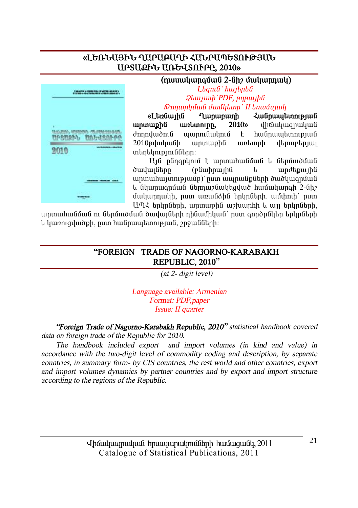## «ԼԵՌՆԱՅԻՆ ՂԱՐԱԲԱՂԻ ՀԱՆՐԱՊԵՏՈՒԹՅԱՆ **UPSU. 2010**» **UNGU SAFPE, 2010**



#### $(n$ wuuluunguuli 2-Gh? uuluunnul

 $L$ *tamû` hwitntû*  $Q$ *lauswah PDF*, *pnpwtha <i><u><del>Onnunluu ii</del>*</u> *duu lum II knuu uu lu* 

«L<del>an</del>guing Ounununh Zugnumbann **unnuphü unlunninn, 2010**» վիճակագրական dnnnyuðni uyunni uyunni en hufinumbuning  $2010$ թվականի արտաթին առևտրի վերաբերյալ untuntun unduban:

Ui nGnanlini t uninuhu Guu li Ganuniouu ð *i* brúar (phu einhau leindar í sandar eindar ein an brúar an heimhli unınınlı unmey mün) nun munud bühnh dud yuqnund l Glunmuqnuu Gthmu Guytayluð huuuyungh 2-Gh umunnuulah, nuun wayu anda baha bahah, wundah nuun UՊՀ երկըների, արտաքին աշխարհի և այլ երկըների,

արտահանման ու ներմուծման ծավալների դինամիկան` ըստ գործընկեր երկրների l ywnnigywdph, num hw Gnwytanni pjw G, γηρω Gütinh:

#### **"FOREIGN TRADE OF NAGORNO-KARABAKH REPUBLIC, 2010"**

*(at 2- digit level)* 

*Language available: Armenian Format: PDF,paper Issue: II quarter*

*"Foreign Trade of Nagorno-Karabakh Republic, 2010" statistical handbook covered data on foreign trade of the Republic for <sup>20</sup>10.* 

*The handbook included export and import volumes (in kind and value) in accordance with the two-digit level of commodity coding and description, by separate countries, in summary form- by CIS countries, the rest world and other countries, export and import volumes dynamics by partner countries and by export and import structure according to the regions of the Republic.*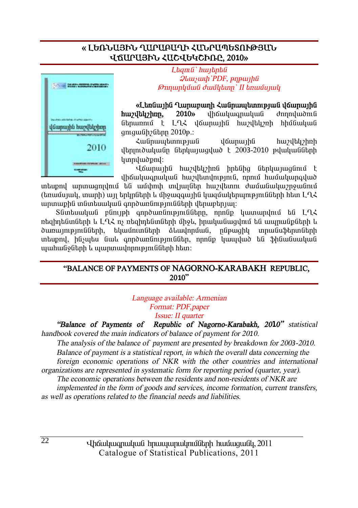# **§ ȺèÜ²ÚÆÜ Ô²ð²´²ÔÆ вÜð²äºîàôÂÚ²Ü**  *<u>UKUPUSÞU ՀUCJUGJCPILP, 2010*</u>



 $L$ *<i>kqmG`hwjknkG*  $Q$ *luuyuuh* `PDF, *pηpwlhû @nnunluuti duutlum' II bnuutunul* 

«Լեռնային Ղարաբաղի Հանրապետության վճարային **huzyltlyzhnn, 2010**» yhouluuqnuluu donnuluudnuli Gtnunnu t LU2 doununha huadtuan hhuguuluug  $qn$ iquidh $p$  $6$ thnn $2010$  $p$ .:

ZwGnwytunnye jug déwnwiha hweltyhnh  $\mu$ երյուծականը ներկայացված է 2003-2010 թվականների lunnuluudpnul:

 $\mathcal{U}$ ճարային հաշվեկշիռն իրենից ներկայացնում է ihauluuanuluua huvikinilmeinia, nnnu huuuluunailuv

intupni uniniugniini tu uushnih iniliuitun huriltani duususuuniinistiinis  $\alpha$  (եռամսյակ, տարի) այլ երկոների և միջազգային կազմակերաությունների իետ  $L^2$ innuph indin buluq inno inn bundin buldan bulung inno hangan in

 $S$ նտեսական բնույթի գործառնությունները, որոնք կատարվում են ԼՂՀ ռեցիդենտների և Լ-ՂՀ ոչ ռեցիդենտների միջև, իրականացվում են ապրանթների և ծառայությունների, եկամուտների ձևավորման, ընթացիկ տրանսֆերտների տեսքով, ինչպես նաև գործառնություններ, որոնք կապված են ֆինանսական  $u$ ահանջների և պարտավորությունների հետ:

#### **"BALANCE OF PAYMENTS OF NAGORNO-KARABAKH REPUBLIC, 2010"**

*Language available: Armenian Format: PDF,paper Issue: II quarter* 

*"Balance of Payments of Republic of Nagorno-Karabakh, 2010" statistical* 

*handbook covered the main indicators of balance of payment for <sup>20</sup>10.* 

*The analysis of the balance of payment are presented by breakdown for <sup>200</sup>3-2010. Balance of payment is <sup>a</sup> statistical report, in which the overall data concerning the foreign economic operations of NKR with the other countries and international organizations are represented in systematic form for reporting period (quarter, year).* 

*The economic operations between the residents and non-residents of NKR are* 

*implemented in the form of goods and services, income formation, current transfers, as well as operations related to the financial needs and liabilities.* 

> Uhauluugnuluu hnuuunulmuumulinh huuuquuul, 2011 Catalogue of Statistical Publications, 2011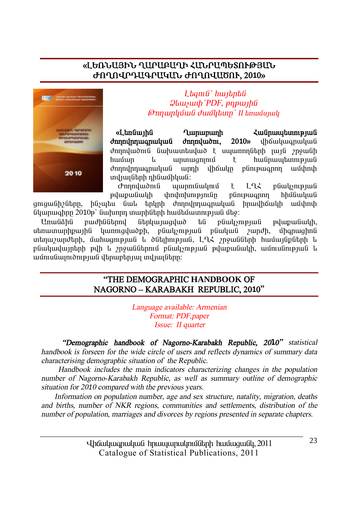# «ԼԵՌՆԱՅԻՆ ՂԱՐԱԲԱՂԻ ՀԱՆՐԱՊԵՏՈՒԹՅԱՆ **ÄàÔàì𸲶ð²Î²Ü ÄàÔàì²Ìàô, 2010¦**



 $L$ *bqnı li* '*hwibnbli*  $Q$ *luuywyh* PDF, pnpwyhâ *@nnunluໂulî duuÎlitann` II tinuuîunuli* 

«Լեռնային Ղարաբաղի Հանրապետության *d***nnulnnuuqnuuluuli dnnnuluudni, 2010**» yhtivuluuqnuuluuli dnnnyudont Guyhuuntuyud t uyunnngthnh wifi mowugh ѳٳñ ¨ ³ñï³óáÉáõÙ ¿ ѳÝñ³å»ïáõÃÛ³Ý dnnnynnwqnwywa wnnh yhowyn punpwqnnn wuynyh տվյայների դինամիկան:

d mondumantia municula duning te la ter e quata punismentia əyu yu yulundur birindən birindən əşə başlanması başlandır.<br>Əlinbüyyatın birində başlanması başlanması başlanması başlanması başlanması başlanması başlanması başlanması

gnigwühzütinn, húswtu Gwl tinlinh dinniliniwanwywa hnwyhowyh wurkinih  $6$ կարագիրը  $2010$ թ` նախորդ տարիների համեմատության մեջ:

Առանձին բաժիններով ներկայացված են բնակչության թվաքանակի, utinwuninppwihû ywnnigywdph, püwysnipjwü püwywü zwndh, ungipwghnü տեղաշարժերի, մահացության և ծնելիության, Լ-ՂՀ շրջանների համայնքների և pնակավայրերի թվի և շրջաններում բնակչության թվաթանակի, ամուսնության և ամուսնայուծության վերաբերյալ տվյալները։

#### **"THE DEMOGRAPHIC HANDBOOK OF NAGORNO – KARABAKH REPUBLIC, 2010"**

*Language available: Armenian Format: PDF,paper*  *Issue: II quarter* 

 *"Demographic handbook of Nagorno-Karabakh Republic, <sup>20</sup>10" statistical handbook is forseen for the wide circle of users and reflects dynamics of summary data characterising demographic situation of the Republic.* 

 *Handbook includes the main indicators characterizing changes in the population number of Nagorno-Karabakh Republic, as well as summary outline of demographic situation for <sup>20</sup>1<sup>0</sup> compared with the previous years.* 

 *Information on population number, age and sex structure, natality, migration, deaths and births, number of NKR regions, communities and settlements, distribution of the number of population, marriages and divorces by regions presented in separate chapters.*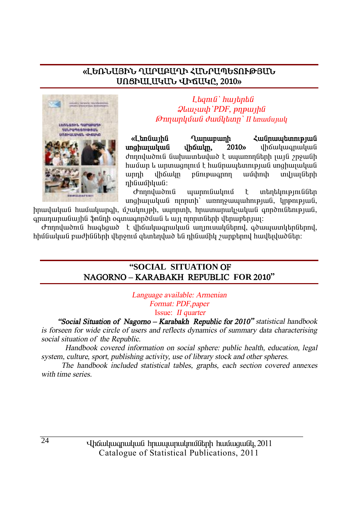# «ԼԵՌՆԱՅԻՆ ՂԱՐԱԲԱՂԻ ՀՄՆՐԱՊԵՏՈՒԹՅԱՆ Unstulluyut urauye, 2010»



Ltanıli' hwitphli  $Q$ *luusuuh* PDF,  $p$ n $p$ *u* $p$ *lii Onnunluuli duulltunn* II tinuuli

«LbnGwihG **Tumunumh**  $\mathcal{L}$ un Ginnau bunun bunun G unghunuluu uhouuun.  $2010<sub>9</sub>$ **u**howlwonwywa ժողովածուն նախատեսված է սպառողների լայն շրջանի <u>hամար և արտացոլում է hանրապետության սոցիալական</u> plinipwannn  $\text{unnh}$ dhowuln ամփոփ mduunfibnh դինամիկան:

στηρημαδη ι α պարունակում  $\mathsf{t}$ տեղեկություններ unghujuuluu ninnuh unnnouuuuhnipjuu lupnipjuu.

իրավական համակարգի, մշակույթի, սպորտի, հրատարակչական գործունեության, գրադարանային ֆոնդի օգտագործման և այլ ոյորտների վերաբերյալ։

Ժողովածուն հագեցած է վիճակագրական աղյուսակներով, գծապատկերներով, հիմնական բաժինների վերջում գետեղված են դինամիկ շարքերով հավելվածներ։

#### "SOCIAL SITUATION OF NAGORNO-KARABAKH REPUBLIC FOR 2010"

Language available: Armenian Format: PDF, paper Issue: *II quarter* 

"Social Situation of Nagorno - Karabakh Republic for 2010" statistical handbook is forseen for wide circle of users and reflects dynamics of summary data characterising social situation of the Republic.

Handbook covered information on social sphere: public health, education, legal system, culture, sport, publishing activity, use of library stock and other spheres.

The handbook included statistical tables, graphs, each section covered annexes with time series.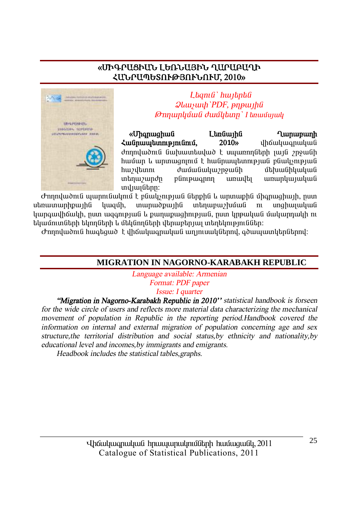# «ՄԻԳՐԱՑԻԱՆ ԼԵՌՆԱՅԻՆ ՂԱՐԱԲԱՂԻ ՀՄՆՐԱՊԵՏՈՒԹՅՈՒՆՈՒՄ, 2010»



Ltanı G'huntantu **Qluuyuuh** PDF, pnpuulha **Onnunluuli duullunn** I tanuunuul

«Uhanwahwû Ltnuutha **Lunupunh** Հանրապետությունում,  $2010<sub>9</sub>$ վիճակազրական dnnndwðni Guihauntuduð t umunnngtinh jují mough <u>hամար և արտազորում է հանրապետության բնակչության</u> huzultunn duuuuuuunguuuh մեհասնիկական տեղաշարժը plintpwannn unuultu առարկայական undiunGthn:

Ժողովածուն պարունակում է բնակչության ներթին և արտաթին միգրացիայի, ըստ ubnuununhpuuhfi munudpuyhû տեղաբաշխման buiaun.  $\mathbf{m}$ unahunulnufi կարգավիճակի, ըստ ազգության և քաղաքազիության, ըստ կրթական մակարդակի ու եկամուտների եկողների և մեկնողների վերաբերյալ տեղեկություններ։

Ժողովածուն հագեցած է վիճակագրական աղյուսակներով, գծապատկերներով։

#### MIGRATION IN NAGORNO-KARABAKH REPUBLIC

Language available: Armenian Format: PDF paper Issue: I quarter

"Migration in Nagorno-Karabakh Republic in 2010" statistical handbook is forseen for the wide circle of users and reflects more material data characterizing the mechanical movement of population in Republic in the reporting period.Handbook covered the information on internal and external migration of population concerning age and sex structure, the territorial distribution and social status, by ethnicity and nationality, by educational level and incomes, by immigrants and emigrants.

Headbook includes the statistical tables graphs.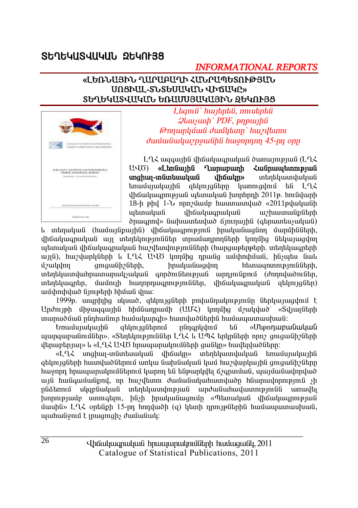# **St1t4US4U4UL 2t4Nt38**

# **INFORMATIONAL REPORTS**

#### «ԼԵՌՆԱՅԻՆ ՂԱՐԱԲԱՂԻ ՀՄՆՐԱՊԵՏՈՒԹՅԱՆ UNSPUL-SLSGUUYULL JPQUYC» ՏԵՂԵԿԱՏՎԱԿԱՆ ԵՌԱՄՍՅԱԿԱՅԻՆ ՁԵԿՈՒՅՑ



Ltama' hwitpta, nniutpta **Qluusuuh** PDF, pnpuuha Թողարկման ժամկետը` hաշվետու duufuufuuhuvnouufihfi huonnnnn 45-nn onn

LQ2 wqqwihli dhowywqnwywli dwnwimpiwli (LQ2 U40) «Ltmunhu **Lunununh** Հանոաաետության unownunghun-muntumunun տերեկատվական  $t$ ռամսյակային զեկույզները կառուցվում են  $L$ ՂՀ **Jhouluuannipuus urbinulius hinnhnnh 2011p. hnisuunh** 18-h phu 1-b nnn uung huun uungud «2011 puuluu wtmwuuu dháwhwanwhwG *w*huumuuiputnh onwonny» նախատեսված ճյուղային (գերատեսչական)

և տեղական (համայնքային) վիճակագրություն իրականացնող մարմինների, վիճակագրական այլ տեղեկություններ տրամադրողների կողմից նեկայացվող պետական վիճակագրական հաշվետվությունների (հարցաթերթերի, տեղեկագրերի այլն), հաշվարկների և ԼՂՀ ԱՎԾ կողմից դրանց ամփոփման, ինչպես նաև aniquidh? Gtph, hnuyuuGuqunn htunwanunnupini Gütinh. *u*zululnn տեղեկատվահրատարակչական գործունեության արդյունթում (ժողովածուներ, տեղեկագրեր, մամուլի հաղորդագրություններ, վիճակագրական զեկույցներ) ամփոփված նյութերի հիման վրա։

1999թ. ապրիլից սկսած, ցեկույցների բովանդակությունը ներկայացվում է Undnyeh միջազգային հիմնադրամի (UUՀ) կողմից մշակված՝ «Տվյայների տարածման ընդհանուր համակարգի» հատվածներին համապատասխան:

ցեկույցներում nünanlıdnığ **bû** «Մեթոդաբանական այարգաբանումներ», «Տեղեկություններ ԼՂՀ և ԱՊՀ երկրների որոշ ցուցանիշների վերաբերյայ» և «ԼՂՀ ԱՎԾ հրապարակումների ցանկը» հավելվածները։

unghuy-inaintuuluua dhoulup տեղեկատվական եռամսյակային «LՂՀ ցեկույցների հատվածներում առկա նախնական կամ հաշվարկային ցուցանիշները հաջորդ հրապարակումներում կարող են ենթարկվել ճշգրտման, պայմանավորված այն հանգամանթով, որ հաշվետու ժամանակահատվածը հնարավորություն չի սկզբնական տեղեկատվության արժանահավատությունն ոնձեռում առավել խորությամբ ստուգելու, ինչի իրականացումը «Պետական վիճակագրության մասին» ԼՂՀ օրենքի 15-րդ հոդվածի (q) կետի դրույթներին համապատասխան, muhulionin t inmaniah dunnuliuli: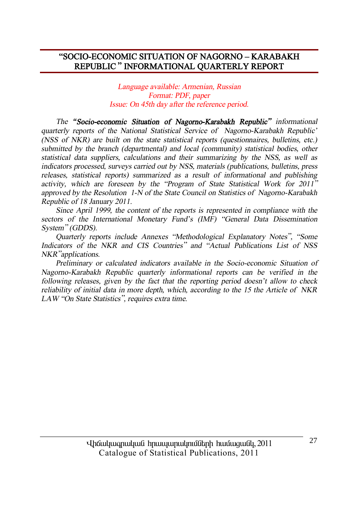## **"SOCIO-ECONOMIC SITUATION OF NAGORNO – KARABAKH REPUBLIC " INFORMATIONAL QUARTERLY REPORT**

#### *Language available: Armenian, Russian Format: PDF, paper Issue: On 45th day after the reference period.*

*The "Socio-economic Situation of Nagorno-Karabakh Republic" informational quarterly reports of the National Statistical Service of Nagorno-Karabakh Republic' (NSS of NKR) are built on the state statistical reports (questionnaires, bulletins, etc.) submitted by the branch (departmental) and local (community) statistical bodies, other statistical data suppliers, calculations and their summarizing by the NSS, as well as indicators processed, surveys carried out by NSS, materials (publications, bulletins, press releases, statistical reports) summarized as <sup>a</sup> result of informational and publishing activity, which are foreseen by the "Program of State Statistical Work for <sup>2011</sup>" approved by the Resolution 1-N of the State Council on Statistics of Nagorno-Karabakh Republic of 18 January 2011.* 

*Since April 1999, the content of the reports is represented in compliance with the sectors of the International Monetary Fund's (IMF) "General Data Dissemination System" (GDDS).* 

*Quarterly reports include Annexes "Methodological Explanatory Notes", "Some Indicators of the NKR and CIS Countries" and "Actual Publications List of NSS NKR"applications.* 

*Preliminary or calculated indicators available in the Socio-economic Situation of Nagorno-Karabakh Republic quarterly informational reports can be verified in the following releases, given by the fact that the reporting period doesn't allow to check reliability of initial data in more depth, which, according to the 15 the Article of NKR LAW "On State Statistics", requires extra time.*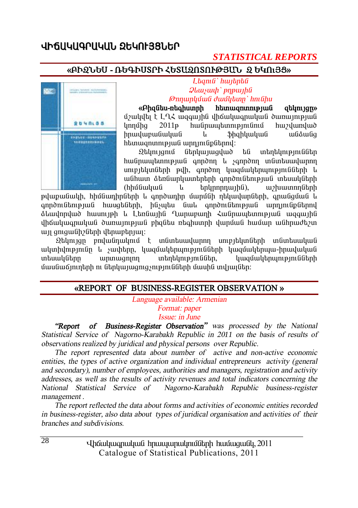# *<u>ՎԻճԱԿԱԳՐԱԿԱՆ ՋԵԿՈԻՅՑ*ՆԵՐ</u>

### *STATISTICAL REPORTS*

#### **§´Æ¼Üºê - 躶ÆêîðÆ Ðºî²¼àîàôÂÚ²Ü ¼ ºÎàõÚò¦**



 $L$ *bqnig hwibnbg*  $\mathcal{Q}$ *luusuuh* `pnpwiha` *ÂáÕ³ñÏÙ³Ý ųÙÏ»ïÁ` ÑáõÝÇë* 

**§´Ç½Ý»ë-é»·ÇëïñÇ Ñ»ï³½áïáõÃÛ³Ý ½»ÏáõÛóÁ¦**  $\mathfrak{g}_2$  is the sum of  $\mathfrak{g}_2$  is the upper interface in the  $\mathfrak{g}_1$ lnnuthq 2011 huulnuu ulunnu bunun huylunuluud իրավաբանական և ֆիզիկական անձանց htunuanunnuənu ü unnını üpütinni:

 $\Omega$ tynı yonu Gitnyu yuqyad ta untotynu bilin hանըապետության գործող և չգործող տնտեսավարող unipitlunutnh puh, annonn yuquuythumpjniuuthnh u անհատ ձեռնարկատերերի գործունեության տեսակների (hhu Gulium in balan bandara), an an chuadh ann ais an t-

pվաpանակի, hhմնադիրների և գործադիր մարմնի ղեկավարների, գրանցման և annðní Ghnipju Gol hwughGhnh, haswhu awa annðní Ghnipju anning hanning hanning h ó luu um luð huun uph le Languu ha Qumu pung Zugnundann pung uggun ha վիճակագրական ծառայության բիզնես ռեգիստրի վարման համար անհրաժեշտ um qnguu Ghe bhah dan uphuun:

 $\Omega$ եկույզը բովանդակում է տնտեսավարող սուբյեկտների տնտեսական  $u$ կտիվությունը և չափերը, կազմակերպությունների կազմակերպա-իրավական տեսակները արտագոյող տեղեկություններ, կազմակերպությունների  $\hat{u}$ ասնաճյուղերի ու ներկայացուց $\hat{y}$ ությունների մասին տվյայներ։

#### **§REPORT OF BUSINESS-REGISTER OBSERVATION ¦**

*Language available: Armenian* 

*Format: paper Issue: in June* 

 *"Report of Business-Register Observation" was processed by the National Statistical Service of Nagorno-Karabakh Republic in <sup>20</sup>11 on the basis of results of observations realized by juridical and physical persons over Republic.* 

 *The report represented data about number of active and non-active economic entities, the types of active organization and individual entrepreneurs activity (general and secondary), number of employees, authorities and managers, registration and activity addresses, as well as the results of activity revenues and total indicators concerning the National Statistical Service of Nagorno-Karabakh Republic business-register management .* 

 *The report reflected the data about forms and activities of economic entities recorded in business-register, also data about types of juridical organisation and activities of their branches and subdivisions.*

> Uhauluugnuluu hnuuunulmuumulinh huuuquuul, 2011 Catalogue of Statistical Publications, 2011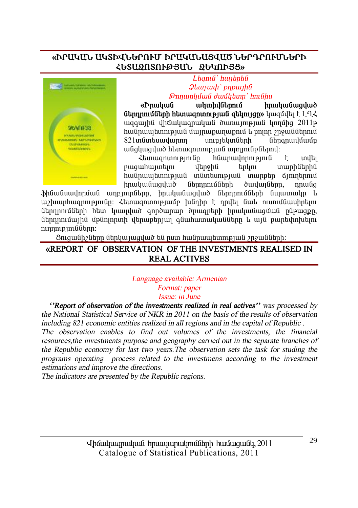# **§Æð²Î²Ü ²ÎîÆìܺðàôØ Æð²Î²Ü²òì²Ì ܺð¸ðàôØÜºðÆ**  ՀԵՏԱՁՈՏՈՒԹՅՄՆ ՁԵԿՈՒՅՑ»



 $L$ *banı G`hwibnbû*  $\mathcal{Q}$ *lauswah* ` pnpwtha *ÂáÕ³ñÏÙ³Ý ųÙÏ»ïÁ` ÑáõÝÇë* 

**§Æñ³Ï³Ý ³ÏïÇíÝ»ñáõÙ Çñ³Ï³Ý³óí³Í Gtompolu Guyah haman hang kuning barahan kuning kuning kuning kuning kuning kuning kuning kuning kuning kuning kuning kuning kuning kuning kuning kuning kuning kuning kuning kuning kuning kuning kuning kuning kuning kunin** ugawihû dhawunanwuwa dunuunipiwa linniha 2011 <u>հանրապետության մայրաքաղաքում և բոլոր շրջաններում</u>  $821$ տնտեսավարող սուբյեկտների ներգրավմամբ անցկացված hետազոտության արդյունքներով։

Ztunwqnunnyemun huunwynnnyemu t myty pwawhwuntun utmohli tnlini inwinhlitnhli  $h$ անրապետության տնտեսության տարբեր ճյուղերում hnwywGwqywd GtmnnwGthh dwywGtnn, nnwGq

ֆինանսավորման աղբյուրները, իրականազված ներդրումների նպատակը և աշխարհագրությունը։ Հետազոտությամբ խնդիր է դրվել նաև ուսումնասիրելու ներորումների hետ կապված գործարար ծրագրերի իրականացման ընթացքը, ütnnnnuðwihü úþüninnun ytnur þáðuhununununu að þannnnuð þeuntuhnlutin ninnipjniaütinn:

 $\delta$ nıgwնի $\delta$ ները ներկայացված են ըստ հանրապետության  $\delta$ րջանների։

## **§REPORT OF OBSERVATION OF THE INVESTMENTS REALISED IN REAL ACTIVES**

#### *Language available: Armenian Format: paper Issue: in June*

 *''Report of observation of the investments realized in real actives'' was processed by the National Statistical Service of NKR in 2011 on the basis of the results of observation including 821 economic entities realized in all regions and in the capital of Republic .* 

*The observation enables to find out volumes of the investments, the financial resources,the investments purpose and geography carried out in the separate branches of the Republic economy for last two years.The observation sets the task for studing the programs operating process related to the investmens according to the investment estimations and improve the directions.* 

*The indicators are presented by the Republic regions.*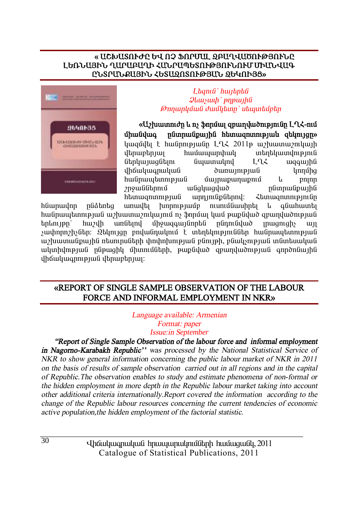#### « ԱՇԽԱՏՈՒԺԸ ԵՎ ՈՉ ՖՈՐՄԱԼ ՁԲԱՂՎԱԾՈՒԹՅՈՒՆԸ ԼԵՌՆԱՅԻՆ ՂԱՐԱԲԱՂԻ ՀԱՆՐԱՊԵՏՈՒԹՅՈՒՆՈՒՄ ՄԻԱՆՎԱԳ ԸՆՏՐՄՆՔԱՅԻՆ ՀԵՏԱՁՈՏՈՒԹՅԱՆ ՁԵԿՈՒՅՑ»



#### Lhamfi' huubnbfi  $\mathcal{Q}$ *lausuah* ` pnp $\mu$ Թողարկման ժամկետը՝ սեպտեմբեր

«Uəhummıdn lı nş İnnüm qrumduldmənnün L-L-2nu nümnuüpunhü htunuumnmupuut qtlmnqn» **úhwGilwa** կազմվել է հանրությանը ԼՂՀ 2011թ աշխատաշուկայի  $h$ dtnuntnuu mandumunupinu  $\lim_{u \to 0}$  $192$ wqawihli dhowluuqnuluu dunumpuu **l**innung հանրապետության մայրաքաղաքում pnjnn lı. **2** 2 2 3 2 3 2 4 3 4 4 5 4 5 4 4 5 4 5 4 5 7 8 4 5 4 5 7 8 4 5 7 8 4 5 7 7 8 4 5 7 8 4 5 7 7 8 4 5 7 7 8 4 5 7 7 7 8 4 5 7 7 8 7 7 8 7 7 8 7 7 8 7 7 8 7 7 8 7 7 8 7 7 8 7 7 8 7 7 8 7 7 8 7 7 8 7 7 8 7 7 8 7 7 8 7 7 8 7 7 wudywquwd nնտրանքային htunuuqnunnupuuli wnniniuputnul: Հետացոտությունը

hüwnwynn nuotantiq unuultu  $h$ nnnn $p_1$ nunuumuhntu  $\mathbf{u}$ quuhuuntu հանրապետության աշխատաշուկայում ոչ ֆորմալ կամ թաքնված զբաղվածության  $t$ nlını $pp'$ huvuh unfitund uhowqawilinntil nfinni filiuð muaniahs  $\mathbf{u}\mathbf{u}$ չափորոշիչներ։ Զեկույզը բովանդակում է տեղեկություններ հանրապետության աշխատանքային ռեսուրսների փոփոխության բնույթի, բնակչության տնտեսական ակտիվության ընթացիկ միտումների, թաթնված զբաղվածության գործոնային dhowywannipiwa dtnwptniwi:

### «REPORT OF SINGLE SAMPLE OBSERVATION OF THE LABOUR FORCE AND INFORMAL EMPLOYMENT IN NKR»

Language available: Armenian Format: paper **Issue:in September** 

"Report of Single Sample Observation of the labour force and informal employment in Nagorno-Karabakh Republic" was processed by the National Statistical Service of NKR to show general information concerning the public labour market of NKR in 2011 on the basis of results of sample observation carried out in all regions and in the capital of Republic. The observation enables to study and estimate phenomena of non-formal or the hidden employment in more depth in the Republic labour market taking into account other additional criteria internationally.Report covered the information according to the change of the Republic labour resources concerning the current tendencies of economic active population, the hidden employment of the factorial statistic.

> Uh auhung untuk di muka harun yang dan dan kantu dan 2011 Catalogue of Statistical Publications, 2011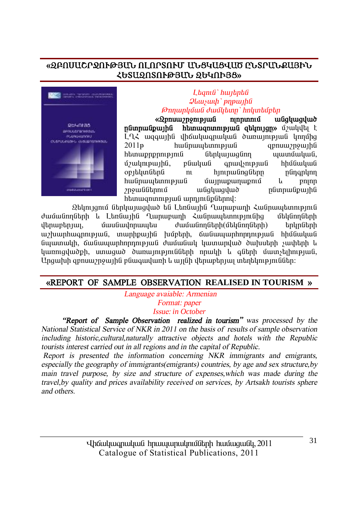# **§¼´àê²ÞðæàôÂÚ²Ü àÈàðîàôØ ²Üòβòì²Ì ÀÜîð²Üø²ÚÆÜ ՀԵՏԱՁՈՏՈՒԹՅՄՆ ՁԵԿՈՒՅՑ»**



#### $L$ *<i>anı a*<sup>'</sup> *hwibnaû*  $\partial$ *liwywih*' pnpwiha *<i><u>* $\theta$ *mnunlı li uli duullum' hnluntuletin*</u>

**§** *§**§**γ* **(***Ωpnuw***2p2mpjwG ngpunnu wGgluaduu) wGgluaduu mgunud akumiqn» (الملاوات الثانية الثانية αδιητιώδοι htmugnunntpjuig qtlmtjqn»** ú $\mu$ uljulti t LLX wqqwihli ilhowluuqnwywa dwnwintenwa ynnung  $2011$ p huunuu bunni puu qunuu qunuu qunuu qunuu qunuu qunuu qunuu qunuu qunuu qunuu qunuu qunuu qunuu qunuu qunuu qunuu qunuu qunuu qunuu qunuu qunuu qunuu qunuu qunuu qunuu qunuu qunuu qunuu qunuu qunuu qunuu qunuu qunu hետաքրքրություն ներկայացնող պատմական, ú) uynpuyhû, pûwywû qnwy\npywû hhu ûwywû ûµÛ»ÏïÝ»ñÝ áõ ÑÛáõñ³ÝáóÝ»ñÁ Áݹ·ñÏáÕ hանրապետության մայրաքաղաքում և բոլոր<br>շրջաններում անգկազված ոնտոանքատին wūahwayud numuununun htunwqnunnpiwa wnniniapatnnu:

Ձեկույցում ներկայացված են Լեռնային Ղարաբաղի Հանրապետություն<br>ոնեոհ և Լեռնային Ղարաբաղի Հանրապետությունից մեկնողների dամանողների և Լեռնային Ղարաբաղի Հանրապետությունից վերաբերյալ, մասնավորապես ժամանողների(մեկնողների) երկրների աշխարհագրության, տարիքային խմբերի, ճանապարհորդության հիմնական Gwwnwyh, ճանապարհորդության ժամանակ կատարված ծախսերի չափերի և կառուցվածքի, ստացած ծառայությունների որակի և գների մատչելիության, Ungwhih gpnuw) nջwihն pնագավառի և այլնի վերաբերյալ տեղեկություններ։

#### **§REPORT OF SAMPLE OBSERVATION REALISED IN TOURISM ¦**

 *Language avaiable: Armenian Format: paper* 

*Issue: in October* 

 *"Report of Sample Observation realized in tourism" was processed by the National Statistical Service of NKR in 2011 on the basis of results of sample observation including historic,cultural,naturally attractive objects and hotels with the Republic tourists interest carried out in all regions and in the capital of Republic.* 

*Report is presented the information concerning NKR immigrants and emigrants, especially the geography of immigrants(emigrants) countries, by age and sex structure,by main travel purpose, by size and structure of expenses,which was made during the travel,by quality and prices availability received on services, by Artsakh tourists sphere and others.*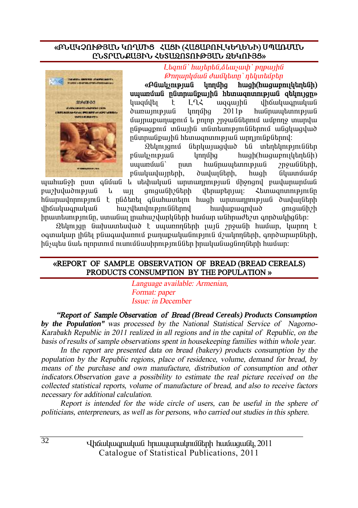#### **§´Ü²ÎâàôÂÚ²Ü ÎàÔØÆò вòÆ (вò²´àôÈÎºÔºÜÆ) êä²èØ²Ü**  <u>ԸՆՏՐՄՆՔԱՅԻՆ ՀԵՏԱՁՈՏՈՒԹՅԱՆ ՁԵԿՈՒՅՑ»</u>



 $L$ *banıli` hwibnbli, oluwywyh` pnpwihli <u>∂mnunlığuılî duığlıtınn`ntluntuğptin</u>* 

**§´Ý³ÏãáõÃÛ³Ý ÏáÕÙÇó ѳóÇ(ѳó³µáõÉϻջÝÇ) uyunůu înformat în production de la construction de la construction de la construction de la construction de la construction de la construction de la construction de la construction de la construction de la construction d** կազմվել է L-LՀ ազգային վիճակագրական dunuunupuu unnuna 2011<sub>P</sub> huunuuntunnupuu ûwpungwnungni lupnin 7 pow Guthani wung mundu püpwgpnu müwjhü mümtumpjniuütinnu wügywgywd րնտրանքային հետազոտության արդյունքներով։

 $2$ եկույզում ներկայազված են տեղեկություններ pնակչության կողմից հացի(հացաբուլկեղենի)<br>սաառման՝ ոստ հանոաաետության շոջաննեոհ. num hwanwww.bunnenwa 2nowaath. բնակավայրերի, ծավայների, հացի նկատմամբ

ujuhulish nun qliuti li utihuljuli uninunninipiuli ühsnani puulununuuli pweludwomeuuG k wu qniqwühelikh ilknupknuu;  $\zeta$ knuuqninningini hGwnwynnnyenn G t nGatartu a Gwhwyntun hwah wnynwnnnyenw a dwywigtinh ilh Guluu anuluu ola burjalahan burjayan duka daripah dan dahilik dan dahilik daripah dahilik daripah dahilikh Çñ³ï»ëáõÃÛáõÝÁ, ëï³Ý³É Éñ³Ñ³ßí³ñÏÝ»ñÇ ѳٳñ ³ÝÑñ³Å»ßï ·áñͳÏÇóÝ»ñ:

 $\mathfrak A$ եկույզը նախատեսված է սպառողների յայն շրջանի համար, կարող է  $o$ գտակար լինել բնագավառում քաղաքականություն մշակողների, գործարարների,  $h$ ն $\delta$ չաես նաև ոյորտում ուսումնասիրություններ իրականագնորների իամար։

#### **§REPORT OF SAMPLE OBSERVATION OF BREAD (BREAD CEREALS)**  PRODUCTS CONSUMPTION BY THE POPULATION »

 *Language available: Armenian, Format: paper Issue: in December* 

 *"Report of Sample Observation of Bread (Bread Cereals) Products Consumption by the Population'' was processed by the National Statistical Service of Nagorno-Karabakh Republic in 2011 realized in all regions and in the capital of Republic, on the basis of results of sample observations spent in housekeeping families within whole year.* 

 *In the report are presented data on bread (bakery) products consumption by the population by the Republic regions, place of residence, volume, demand for bread, by means of the purchase and own manufacture, distribution of consumption and other indicators.Observation gave <sup>a</sup> possibility to estimate the real picture received on the collected statistical reports, volume of manufacture of bread, and also to receive factors necessary for additional calculation.* 

 *Report is intended for the wide circle of users, can be useful in the sphere of politicians, enterpreneurs, as well as for persons, who carried out studies in this sphere.*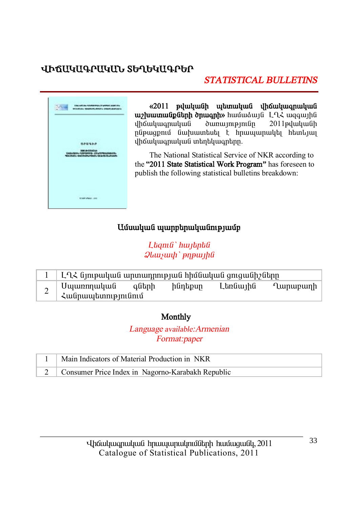# ՎԻՃԱԿԱԳՐԱԿԱՆ ՏԵՂԵԿԱԳՐԵՐ

# **STATISTICAL BULLETINS**



«2011 թվականի պետական վիճակագրական uz huumu GpGtph onuqph» huutuduy G L-12 uqquyhti վիճակագրական  $\alpha$ 2011pdwywGh ընթացքում նախատեսել է որապարակել հետևյալ վիճակագրական տեղեկագրերը.

The National Statistical Service of NKR according to the "2011 State Statistical Work Program" has foreseen to publish the following statistical bulletins breakdown:

# Ամսական պարբերականությամբ

Ltamu<sup>'</sup> hwithtu  $\mathcal{Q}$ *lausuuh* ' pnp $\mu$ 

|   | ԼՂՀ նյութական արտադրության հիմնական ցուցանիշները |  |         |          |          |
|---|--------------------------------------------------|--|---------|----------|----------|
| ∼ | Սպառողական գների<br>  Հանրապետությունում         |  | ինդեքսը | Լեռնային | Ղարաբաղի |

# Monthly

Language available: Armenian Format:paper

| Main Indicators of Material Production in NKR         |
|-------------------------------------------------------|
| 2   Consumer Price Index in Nagorno-Karabakh Republic |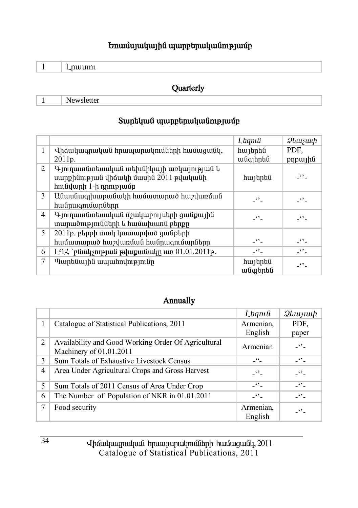# **Եռամսյակային պարբերականությամբ**

|--|--|--|--|--|--|--|

## **Quarterly**

1 Newsletter

# $S$ արեկան պարբերականությամբ

|   |                                                                                                             | Lagnia               | $\mathcal{Q}$ luu $\mathcal{Y}$ uu $\mathcal{P}$  |
|---|-------------------------------------------------------------------------------------------------------------|----------------------|---------------------------------------------------|
| 1 | Վիճակագրական հրապարակումների համացանկ,                                                                      | հայերեն              | PDF.                                              |
|   | 2011p.                                                                                                      | անգլերեն             | pypujhti                                          |
| 2 | Գյուղատնտեսական տեխնիկայի առկայության և<br>սարքինության վիճակի մասին 2011 թվականի<br>հունվարի 1-ի դրությամբ | հայերեն              | -''-                                              |
| 3 | Անասնագլխաքանակի համատարած հաշվառման<br>հանրագումարները                                                     | $\ddot{\phantom{0}}$ | $\overline{\phantom{a}}$ $\overline{\phantom{a}}$ |
| 4 | Գյուղատնտեսական մշակաբույսերի ցանքային<br>տարածությունների և համախառն բերքը                                 | -''-                 | -''-                                              |
| 5 | 2011թ. բերքի տակ կատարված ցանքերի                                                                           |                      |                                                   |
|   | համատարած հաշվառման հանրագումարները                                                                         | $-$                  | $ \cdot$ $\cdot$ $-$                              |
| 6 | $L\lambda$ ՝ բնակչության թվաքանակը առ $01.01.2011$ թ.                                                       | $-1$                 | -''-                                              |
| 7 | Պարենային ապահովությունը                                                                                    | հայերեն<br>անգլերեն  | -''-                                              |

# **Annually**

|   |                                                                                  | Lagnia                | $\mathcal{Q}$ luu $\mathcal{Y}$ uu $\mathcal{P}$ |
|---|----------------------------------------------------------------------------------|-----------------------|--------------------------------------------------|
| 1 | Catalogue of Statistical Publications, 2011                                      | Armenian,<br>English  | PDF.                                             |
|   |                                                                                  |                       | paper                                            |
| 2 | Availability and Good Working Order Of Agricultural<br>Machinery of $01.01.2011$ | Armenian              | $ \bullet$ $-$                                   |
| 3 | Sum Totals of Exhaustive Livestock Census                                        | $-$ <sup>66</sup> $-$ | $ \cdot$ $-$                                     |
| 4 | Area Under Agricultural Crops and Gross Harvest                                  | $ -$                  | $\overline{\phantom{a}}$                         |
| 5 | Sum Totals of 2011 Census of Area Under Crop                                     | $ \cdot$ $-$          | $-10^{14}$                                       |
| 6 | The Number of Population of NKR in 01.01.2011                                    | $ -$                  | $\epsilon$ ,                                     |
| 7 | Food security                                                                    | Armenian,<br>English  | $\ddots$                                         |

Uhauluuqnuluua hpuuyuqnulpnuathph huutuguaty, 2011 Catalogue of Statistical Publications, 2011

34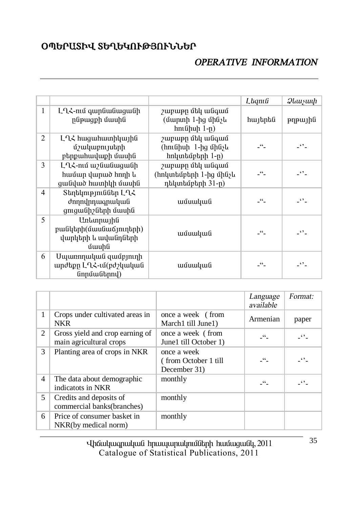# **úäºð²îÆì îºÔºÎàôÂÚàôÜܺð**

# *OPERATIVE INFORMATION*

|   |                                                                     |                                                                | Laqnıli    | <i>Qlauyuuh</i> |
|---|---------------------------------------------------------------------|----------------------------------------------------------------|------------|-----------------|
| 1 | ԼՂՀ-ում գարնանացանի<br>րնթացքի մասին                                | շաբաթը մեկ անգամ<br>(մարտի 1-ից մինչև<br>$h$ ունիսի 1-ը)       | հայերեն    | pypujhti        |
| 2 | ԼՂՀ հացահատիկային<br>մշակաբույսերի<br>բերքահավաքի մասին             | շաբաթը մեկ անգամ<br>(հունիսի 1-ից մինչև<br>հոկտեմբերի 1-ը)     | - "-       | $\cdot$ .       |
| 3 | ԼՂՀ-ում աշնանացանի<br>համար վարած հողի և<br>ցանված հատիկի մասին     | շաբաթը մեկ անգամ<br>(հոկտեմբերի 1-ից մինչև<br>դեկտեմբերի 31-ը) | - "-       | -''-            |
| 4 | Տեղեկություններ ԼՂՀ<br>ժողովրդագրական<br>ցուցանիշների մասին         | ամսական                                                        | _"         | $\ddots$        |
| 5 | Առևտրային<br>բանկերի(մասնաճյուղերի)<br>վարկերի և ավանդների<br>մասին | ամսական                                                        | $-$ 66 $-$ | -''-            |
| 6 | Մպառողական զամբյուղի<br>արժեքը ԼՂՀ-ւմ(բժշկական<br>նորմաներով)       | ամսական                                                        | $-$ 66 $-$ | $\cdot$ .       |

|                |                                                            |                                                      | Language<br>available | Format:              |
|----------------|------------------------------------------------------------|------------------------------------------------------|-----------------------|----------------------|
| 1              | Crops under cultivated areas in<br>NKR                     | once a week (from<br>March1 till June1)              | Armenian              | paper                |
| 2              | Gross yield and crop earning of<br>main agricultural crops | once a week (from<br>June1 till October 1)           | 66                    | $\ddot{\phantom{0}}$ |
| 3              | Planting area of crops in NKR                              | once a week<br>(from October 1 till)<br>December 31) | 66.                   | $\ddot{\bullet}$     |
| $\overline{4}$ | The data about demographic<br>indicatots in NKR            | monthly                                              | 66                    | $ \cdot$ $\cdot$ $-$ |
| 5              | Credits and deposits of<br>commercial banks(branches)      | monthly                                              |                       |                      |
| 6              | Price of consumer basket in<br>NKR(by medical norm)        | monthly                                              |                       |                      |

**i** łaślu an alquida handa handan hangu handa dan an 1011 Catalogue of Statistical Publications, 2011

35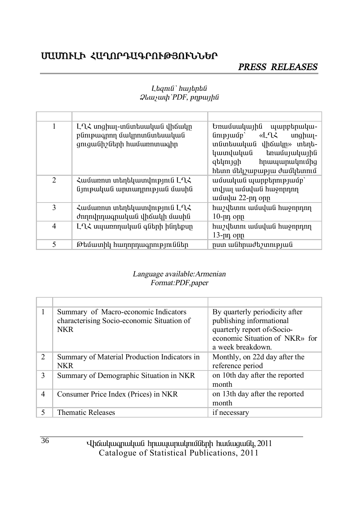# **ՄԱՄՈՒԼԻ ՀԱՂՈՐԴԱԳՐՈՒԹՅՈՒՆՆԵՐ**

# *PRESS RELEASES*

#### $L$ *bqni û*` *hwjbpbû*  $\partial$ *l*<sub>*kuywuh* PDF, *pnpwlhû*</sub>

| 1 | ԼՂՀ սոցիալ-տնտեսական վիճակը<br>բնութագրող մակրոտնտեսական<br>ցուցանիշների համառոտագիր | Եռամսակային պարբերակա-<br>«LՂՀ<br>$\lim$ pj $\sup$<br>$unghu -$<br>տնտեսական վիճակը» տեղե-<br>կատվական<br>եռամսյակային<br>զեկույցի<br>հրապարակումից<br>հետո մեկշաբաթյա ժամկետում |
|---|--------------------------------------------------------------------------------------|----------------------------------------------------------------------------------------------------------------------------------------------------------------------------------|
| 2 | Համառոտ տեղեկատվություն ԼՂՀ<br>նյութական արտադրության մասին                          | ամսական պարբերությամբ`<br>տվյալ ամսվան հաջորդող<br>ամավա 22-րդ օրը                                                                                                               |
| 3 | Համառոտ տեղեկատվություն ԼՂՀ<br>ժողովրդագրական վիճակի մասին                           | հաշվետու ամսվան հաջորդող<br>$10$ -րդ օրը                                                                                                                                         |
| 4 | ԼՂՀ սպառողական գների ինդեքսը                                                         | հաշվետու ամսվան հաջորդող<br>13-րդ օրը                                                                                                                                            |
| 5 | Թեմատիկ հաղորդագրություններ                                                          | րստ անհրաժեշտության                                                                                                                                                              |

#### *Language available:Armenian Format:PDF,paper*

|                | Summary of Macro-economic Indicators<br>characterising Socio-economic Situation of<br><b>NKR</b> | By quarterly periodicity after<br>publishing informational<br>quarterly report of «Socio-<br>economic Situation of NKR» for<br>a week breakdown. |
|----------------|--------------------------------------------------------------------------------------------------|--------------------------------------------------------------------------------------------------------------------------------------------------|
| $\overline{c}$ | Summary of Material Production Indicators in<br><b>NKR</b>                                       | Monthly, on 22d day after the<br>reference period                                                                                                |
| 3              | Summary of Demographic Situation in NKR                                                          | on 10th day after the reported<br>month                                                                                                          |
| $\overline{4}$ | Consumer Price Index (Prices) in NKR                                                             | on 13th day after the reported<br>month                                                                                                          |
|                | <b>Thematic Releases</b>                                                                         | if necessary                                                                                                                                     |

Uhauluuqnuluua hpuuyuqnulpnuathph huuuquualy, 2011 Catalogue of Statistical Publications, 2011